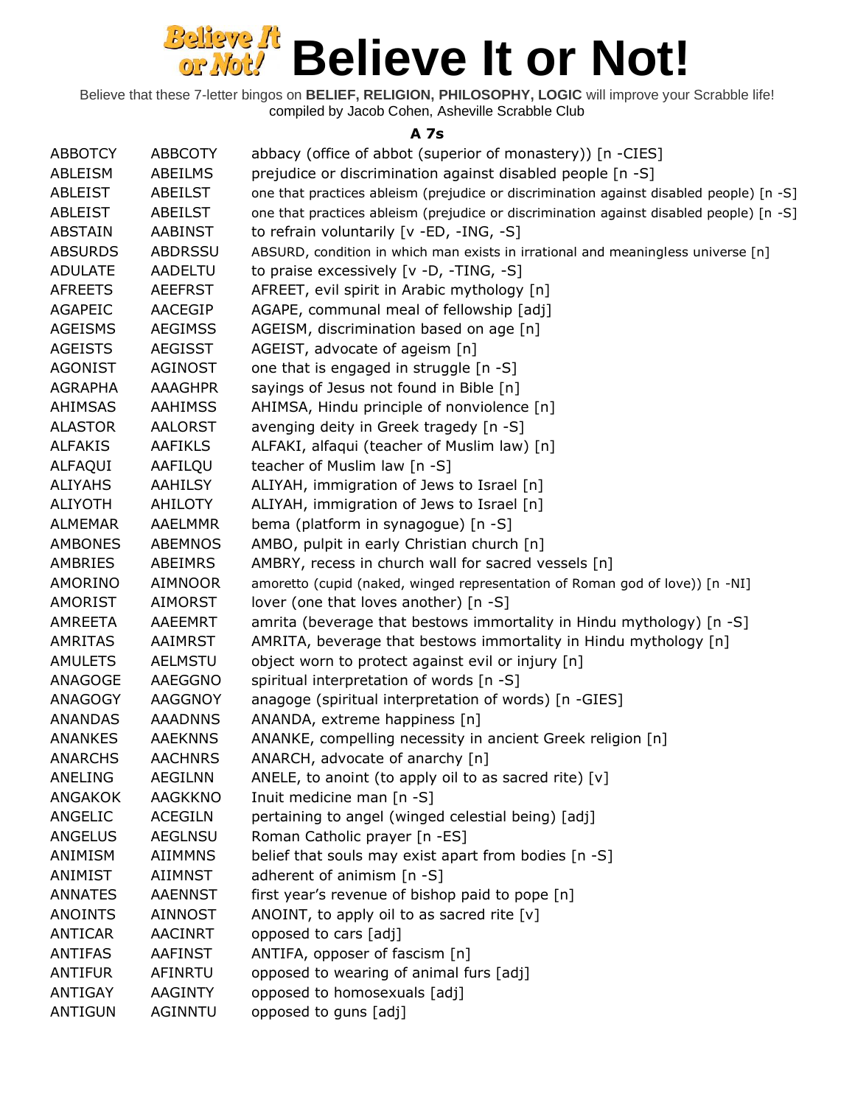Believe that these 7-letter bingos on **BELIEF, RELIGION, PHILOSOPHY, LOGIC** will improve your Scrabble life! compiled by Jacob Cohen, Asheville Scrabble Club

#### **A 7s**

| <b>ABBOTCY</b> | <b>ABBCOTY</b> | abbacy (office of abbot (superior of monastery)) [n -CIES]                              |
|----------------|----------------|-----------------------------------------------------------------------------------------|
| ABLEISM        | ABEILMS        | prejudice or discrimination against disabled people [n -S]                              |
| ABLEIST        | ABEILST        | one that practices ableism (prejudice or discrimination against disabled people) [n -S] |
| ABLEIST        | ABEILST        | one that practices ableism (prejudice or discrimination against disabled people) [n -S] |
| <b>ABSTAIN</b> | <b>AABINST</b> | to refrain voluntarily [v -ED, -ING, -S]                                                |
| <b>ABSURDS</b> | <b>ABDRSSU</b> | ABSURD, condition in which man exists in irrational and meaningless universe [n]        |
| <b>ADULATE</b> | <b>AADELTU</b> | to praise excessively [v -D, -TING, -S]                                                 |
| <b>AFREETS</b> | <b>AEEFRST</b> | AFREET, evil spirit in Arabic mythology [n]                                             |
| <b>AGAPEIC</b> | AACEGIP        | AGAPE, communal meal of fellowship [adj]                                                |
| <b>AGEISMS</b> | <b>AEGIMSS</b> | AGEISM, discrimination based on age [n]                                                 |
| <b>AGEISTS</b> | <b>AEGISST</b> | AGEIST, advocate of ageism [n]                                                          |
| <b>AGONIST</b> | <b>AGINOST</b> | one that is engaged in struggle [n -S]                                                  |
| <b>AGRAPHA</b> | <b>AAAGHPR</b> | sayings of Jesus not found in Bible [n]                                                 |
| AHIMSAS        | <b>AAHIMSS</b> | AHIMSA, Hindu principle of nonviolence [n]                                              |
| <b>ALASTOR</b> | <b>AALORST</b> | avenging deity in Greek tragedy [n -S]                                                  |
| <b>ALFAKIS</b> | <b>AAFIKLS</b> | ALFAKI, alfaqui (teacher of Muslim law) [n]                                             |
| ALFAQUI        | AAFILQU        | teacher of Muslim law [n -S]                                                            |
| <b>ALIYAHS</b> | <b>AAHILSY</b> | ALIYAH, immigration of Jews to Israel [n]                                               |
| <b>ALIYOTH</b> | AHILOTY        | ALIYAH, immigration of Jews to Israel [n]                                               |
| <b>ALMEMAR</b> | <b>AAELMMR</b> | bema (platform in synagogue) [n -S]                                                     |
| <b>AMBONES</b> | <b>ABEMNOS</b> | AMBO, pulpit in early Christian church [n]                                              |
| AMBRIES        | ABEIMRS        | AMBRY, recess in church wall for sacred vessels [n]                                     |
| AMORINO        | <b>AIMNOOR</b> | amoretto (cupid (naked, winged representation of Roman god of love)) [n -NI]            |
| <b>AMORIST</b> | AIMORST        | lover (one that loves another) [n -S]                                                   |
| <b>AMREETA</b> | AAEEMRT        | amrita (beverage that bestows immortality in Hindu mythology) [n -S]                    |
| <b>AMRITAS</b> | <b>AAIMRST</b> | AMRITA, beverage that bestows immortality in Hindu mythology [n]                        |
| <b>AMULETS</b> | AELMSTU        | object worn to protect against evil or injury [n]                                       |
| ANAGOGE        | AAEGGNO        | spiritual interpretation of words [n -S]                                                |
| ANAGOGY        | AAGGNOY        | anagoge (spiritual interpretation of words) [n -GIES]                                   |
| <b>ANANDAS</b> | <b>AAADNNS</b> | ANANDA, extreme happiness [n]                                                           |
| <b>ANANKES</b> | <b>AAEKNNS</b> | ANANKE, compelling necessity in ancient Greek religion [n]                              |
| <b>ANARCHS</b> | <b>AACHNRS</b> | ANARCH, advocate of anarchy [n]                                                         |
| <b>ANELING</b> | <b>AEGILNN</b> | ANELE, to anoint (to apply oil to as sacred rite) $[v]$                                 |
| <b>ANGAKOK</b> | <b>AAGKKNO</b> | Inuit medicine man [n -S]                                                               |
| ANGELIC        | <b>ACEGILN</b> | pertaining to angel (winged celestial being) [adj]                                      |
| <b>ANGELUS</b> | <b>AEGLNSU</b> | Roman Catholic prayer [n -ES]                                                           |
| ANIMISM        | <b>AIIMMNS</b> | belief that souls may exist apart from bodies [n -S]                                    |
| ANIMIST        | <b>AIIMNST</b> | adherent of animism [n -S]                                                              |
| <b>ANNATES</b> | <b>AAENNST</b> | first year's revenue of bishop paid to pope [n]                                         |
| <b>ANOINTS</b> | <b>AINNOST</b> | ANOINT, to apply oil to as sacred rite [v]                                              |
| <b>ANTICAR</b> | <b>AACINRT</b> | opposed to cars [adj]                                                                   |
| <b>ANTIFAS</b> | <b>AAFINST</b> | ANTIFA, opposer of fascism [n]                                                          |
| <b>ANTIFUR</b> | AFINRTU        | opposed to wearing of animal furs [adj]                                                 |
| ANTIGAY        | <b>AAGINTY</b> | opposed to homosexuals [adj]                                                            |
| <b>ANTIGUN</b> | <b>AGINNTU</b> | opposed to guns [adj]                                                                   |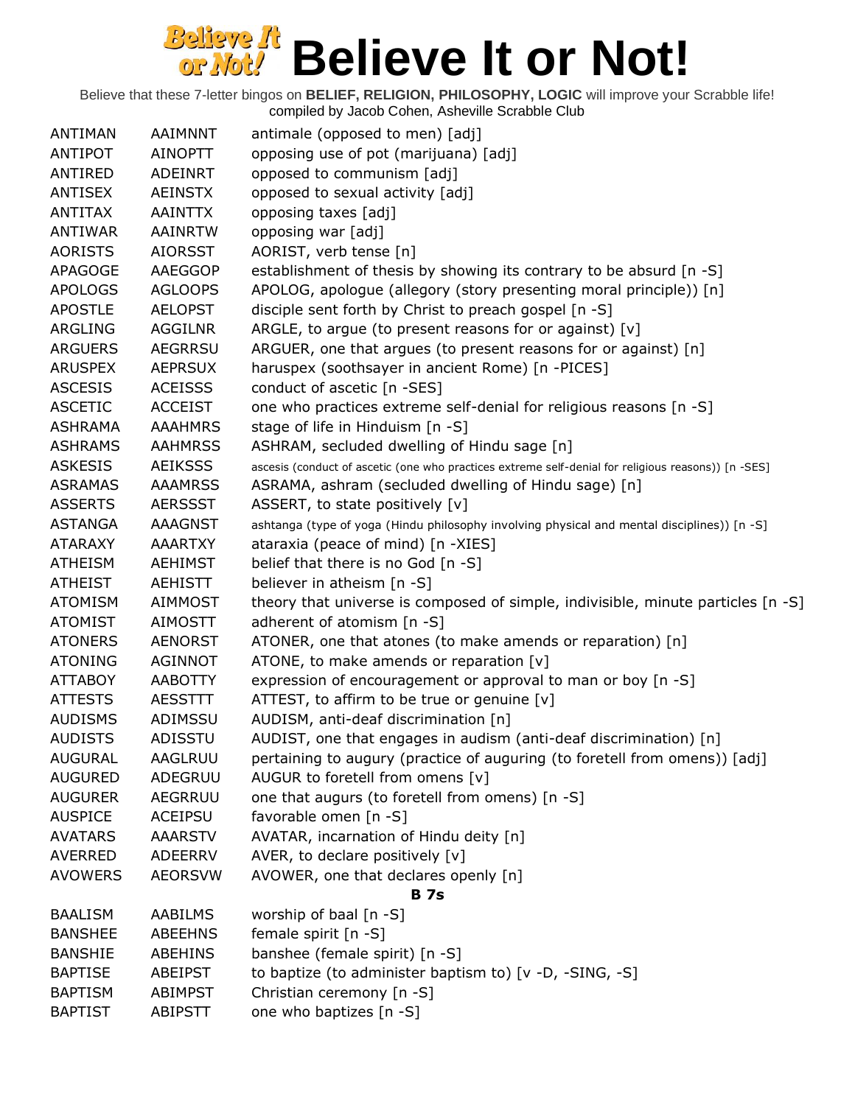| ANTIMAN        | AAIMNNT        | antimale (opposed to men) [adj]                                                                     |
|----------------|----------------|-----------------------------------------------------------------------------------------------------|
| ANTIPOT        | AINOPTT        | opposing use of pot (marijuana) [adj]                                                               |
| ANTIRED        | <b>ADEINRT</b> | opposed to communism [adj]                                                                          |
| <b>ANTISEX</b> | <b>AEINSTX</b> | opposed to sexual activity [adj]                                                                    |
| <b>ANTITAX</b> | AAINTTX        | opposing taxes [adj]                                                                                |
| ANTIWAR        | AAINRTW        | opposing war [adj]                                                                                  |
| <b>AORISTS</b> | <b>AIORSST</b> | AORIST, verb tense [n]                                                                              |
| <b>APAGOGE</b> | AAEGGOP        | establishment of thesis by showing its contrary to be absurd [n -S]                                 |
| <b>APOLOGS</b> | <b>AGLOOPS</b> | APOLOG, apologue (allegory (story presenting moral principle)) [n]                                  |
| <b>APOSTLE</b> | <b>AELOPST</b> | disciple sent forth by Christ to preach gospel [n -S]                                               |
| ARGLING        | <b>AGGILNR</b> | ARGLE, to argue (to present reasons for or against) $[v]$                                           |
| <b>ARGUERS</b> | <b>AEGRRSU</b> | ARGUER, one that argues (to present reasons for or against) [n]                                     |
| <b>ARUSPEX</b> | <b>AEPRSUX</b> | haruspex (soothsayer in ancient Rome) [n -PICES]                                                    |
| <b>ASCESIS</b> | <b>ACEISSS</b> | conduct of ascetic [n -SES]                                                                         |
| <b>ASCETIC</b> | <b>ACCEIST</b> | one who practices extreme self-denial for religious reasons [n -S]                                  |
| <b>ASHRAMA</b> | <b>AAAHMRS</b> | stage of life in Hinduism [n -S]                                                                    |
| <b>ASHRAMS</b> | <b>AAHMRSS</b> | ASHRAM, secluded dwelling of Hindu sage [n]                                                         |
| <b>ASKESIS</b> | <b>AEIKSSS</b> | ascesis (conduct of ascetic (one who practices extreme self-denial for religious reasons)) [n -SES] |
| <b>ASRAMAS</b> | <b>AAAMRSS</b> | ASRAMA, ashram (secluded dwelling of Hindu sage) [n]                                                |
| <b>ASSERTS</b> | <b>AERSSST</b> | ASSERT, to state positively [v]                                                                     |
| <b>ASTANGA</b> | <b>AAAGNST</b> | ashtanga (type of yoga (Hindu philosophy involving physical and mental disciplines)) [n -S]         |
| <b>ATARAXY</b> | <b>AAARTXY</b> | ataraxia (peace of mind) [n -XIES]                                                                  |
| <b>ATHEISM</b> | <b>AEHIMST</b> | belief that there is no God [n -S]                                                                  |
| <b>ATHEIST</b> | <b>AEHISTT</b> | believer in atheism [n -S]                                                                          |
| <b>ATOMISM</b> | AIMMOST        | theory that universe is composed of simple, indivisible, minute particles [n -S]                    |
| <b>ATOMIST</b> | AIMOSTT        | adherent of atomism [n -S]                                                                          |
| <b>ATONERS</b> | <b>AENORST</b> | ATONER, one that atones (to make amends or reparation) [n]                                          |
| <b>ATONING</b> | <b>AGINNOT</b> | ATONE, to make amends or reparation [v]                                                             |
| <b>ATTABOY</b> | AABOTTY        | expression of encouragement or approval to man or boy [n -S]                                        |
| <b>ATTESTS</b> | <b>AESSTTT</b> | ATTEST, to affirm to be true or genuine $[v]$                                                       |
| <b>AUDISMS</b> | ADIMSSU        | AUDISM, anti-deaf discrimination [n]                                                                |
| <b>AUDISTS</b> | ADISSTU        | AUDIST, one that engages in audism (anti-deaf discrimination) [n]                                   |
| <b>AUGURAL</b> | AAGLRUU        | pertaining to augury (practice of auguring (to foretell from omens)) [adj]                          |
| <b>AUGURED</b> | ADEGRUU        | AUGUR to foretell from omens [v]                                                                    |
| <b>AUGURER</b> | AEGRRUU        | one that augurs (to foretell from omens) [n -S]                                                     |
| <b>AUSPICE</b> | ACEIPSU        | favorable omen [n -S]                                                                               |
| <b>AVATARS</b> | <b>AAARSTV</b> | AVATAR, incarnation of Hindu deity [n]                                                              |
| AVERRED        | ADEERRV        | AVER, to declare positively [v]                                                                     |
| <b>AVOWERS</b> | <b>AEORSVW</b> | AVOWER, one that declares openly [n]                                                                |
|                |                | <b>B</b> 7s                                                                                         |
| <b>BAALISM</b> | <b>AABILMS</b> | worship of baal [n -S]                                                                              |
| <b>BANSHEE</b> | <b>ABEEHNS</b> | female spirit [n -S]                                                                                |
| <b>BANSHIE</b> | ABEHINS        | banshee (female spirit) [n -S]                                                                      |
| <b>BAPTISE</b> | ABEIPST        | to baptize (to administer baptism to) [v -D, -SING, -S]                                             |
| <b>BAPTISM</b> | <b>ABIMPST</b> | Christian ceremony [n -S]                                                                           |
| <b>BAPTIST</b> | <b>ABIPSTT</b> | one who baptizes [n -S]                                                                             |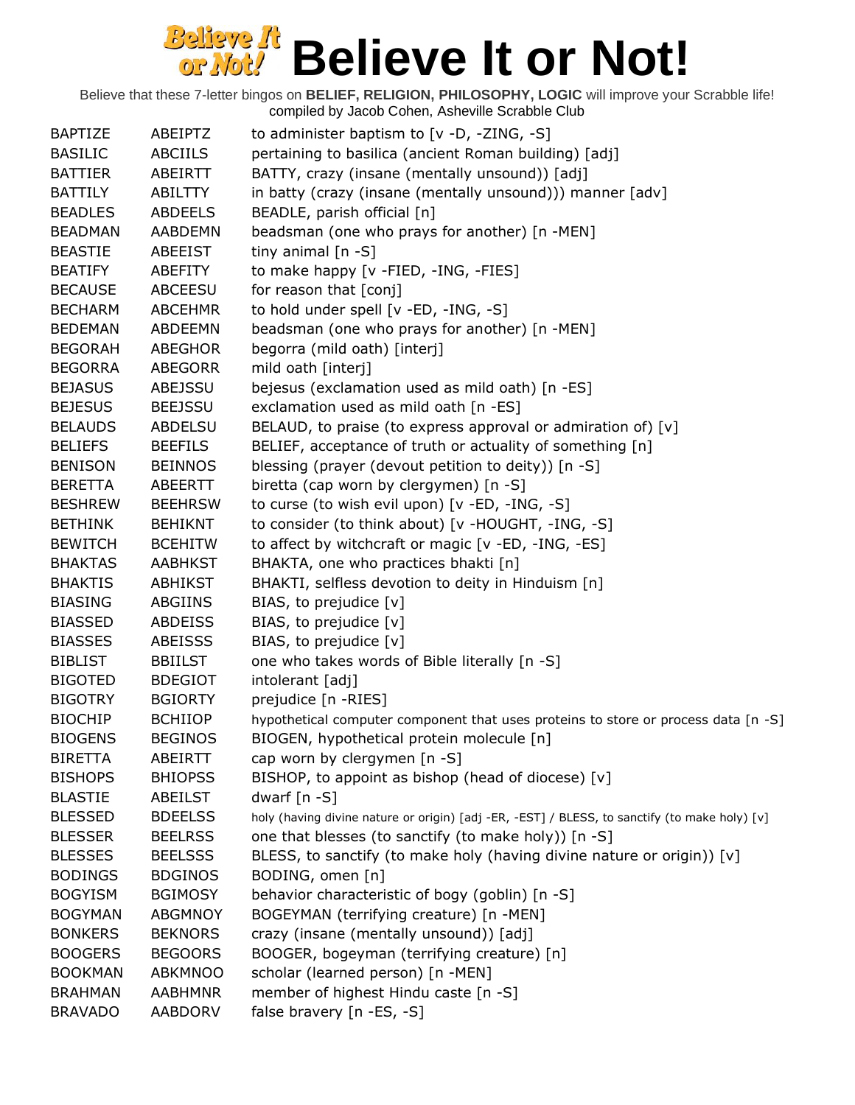| <b>BAPTIZE</b> | ABEIPTZ        | to administer baptism to $[v -D, -ZING, -S]$                                                  |
|----------------|----------------|-----------------------------------------------------------------------------------------------|
| <b>BASILIC</b> | ABCIILS        | pertaining to basilica (ancient Roman building) [adj]                                         |
| <b>BATTIER</b> | ABEIRTT        | BATTY, crazy (insane (mentally unsound)) [adj]                                                |
| <b>BATTILY</b> | ABILTTY        | in batty (crazy (insane (mentally unsound))) manner [adv]                                     |
| <b>BEADLES</b> | <b>ABDEELS</b> | BEADLE, parish official [n]                                                                   |
| <b>BEADMAN</b> | <b>AABDEMN</b> | beadsman (one who prays for another) [n -MEN]                                                 |
| <b>BEASTIE</b> | ABEEIST        | tiny animal $[n -S]$                                                                          |
| <b>BEATIFY</b> | ABEFITY        | to make happy [v -FIED, -ING, -FIES]                                                          |
| <b>BECAUSE</b> | ABCEESU        | for reason that [conj]                                                                        |
| <b>BECHARM</b> | <b>ABCEHMR</b> | to hold under spell [v -ED, -ING, -S]                                                         |
| <b>BEDEMAN</b> | ABDEEMN        | beadsman (one who prays for another) [n -MEN]                                                 |
| <b>BEGORAH</b> | <b>ABEGHOR</b> | begorra (mild oath) [interj]                                                                  |
| <b>BEGORRA</b> | <b>ABEGORR</b> | mild oath [interj]                                                                            |
| <b>BEJASUS</b> | ABEJSSU        | bejesus (exclamation used as mild oath) [n -ES]                                               |
| <b>BEJESUS</b> | <b>BEEJSSU</b> | exclamation used as mild oath [n -ES]                                                         |
| <b>BELAUDS</b> | <b>ABDELSU</b> | BELAUD, to praise (to express approval or admiration of) [v]                                  |
| <b>BELIEFS</b> | <b>BEEFILS</b> | BELIEF, acceptance of truth or actuality of something [n]                                     |
| <b>BENISON</b> | <b>BEINNOS</b> | blessing (prayer (devout petition to deity)) [n -S]                                           |
| <b>BERETTA</b> | ABEERTT        | biretta (cap worn by clergymen) [n -S]                                                        |
| <b>BESHREW</b> | <b>BEEHRSW</b> | to curse (to wish evil upon) [v -ED, -ING, -S]                                                |
| <b>BETHINK</b> | <b>BEHIKNT</b> | to consider (to think about) [v -HOUGHT, -ING, -S]                                            |
| <b>BEWITCH</b> | <b>BCEHITW</b> | to affect by witchcraft or magic [v -ED, -ING, -ES]                                           |
| <b>BHAKTAS</b> | <b>AABHKST</b> | BHAKTA, one who practices bhakti [n]                                                          |
| <b>BHAKTIS</b> | <b>ABHIKST</b> | BHAKTI, selfless devotion to deity in Hinduism [n]                                            |
| <b>BIASING</b> | ABGIINS        | BIAS, to prejudice [v]                                                                        |
| <b>BIASSED</b> | ABDEISS        | BIAS, to prejudice [v]                                                                        |
| <b>BIASSES</b> | <b>ABEISSS</b> | BIAS, to prejudice [v]                                                                        |
| <b>BIBLIST</b> | <b>BBIILST</b> | one who takes words of Bible literally [n -S]                                                 |
| <b>BIGOTED</b> | <b>BDEGIOT</b> | intolerant [adj]                                                                              |
| <b>BIGOTRY</b> | <b>BGIORTY</b> | prejudice [n -RIES]                                                                           |
| <b>BIOCHIP</b> | <b>BCHIIOP</b> | hypothetical computer component that uses proteins to store or process data [n -S]            |
| <b>BIOGENS</b> | <b>BEGINOS</b> | BIOGEN, hypothetical protein molecule [n]                                                     |
| <b>BIRETTA</b> | ABEIRTT        | cap worn by clergymen [n -S]                                                                  |
| <b>BISHOPS</b> | <b>BHIOPSS</b> | BISHOP, to appoint as bishop (head of diocese) [v]                                            |
| <b>BLASTIE</b> | ABEILST        | dwarf $[n - S]$                                                                               |
| <b>BLESSED</b> | <b>BDEELSS</b> | holy (having divine nature or origin) [adj -ER, -EST] / BLESS, to sanctify (to make holy) [v] |
| <b>BLESSER</b> | <b>BEELRSS</b> | one that blesses (to sanctify (to make holy)) [n -S]                                          |
| <b>BLESSES</b> | <b>BEELSSS</b> | BLESS, to sanctify (to make holy (having divine nature or origin)) [v]                        |
| <b>BODINGS</b> | <b>BDGINOS</b> | BODING, omen [n]                                                                              |
| <b>BOGYISM</b> | <b>BGIMOSY</b> | behavior characteristic of bogy (goblin) [n -S]                                               |
| <b>BOGYMAN</b> | <b>ABGMNOY</b> | BOGEYMAN (terrifying creature) [n -MEN]                                                       |
| <b>BONKERS</b> | <b>BEKNORS</b> | crazy (insane (mentally unsound)) [adj]                                                       |
| <b>BOOGERS</b> | <b>BEGOORS</b> | BOOGER, bogeyman (terrifying creature) [n]                                                    |
| <b>BOOKMAN</b> | <b>ABKMNOO</b> | scholar (learned person) [n -MEN]                                                             |
| <b>BRAHMAN</b> | <b>AABHMNR</b> | member of highest Hindu caste [n -S]                                                          |
| <b>BRAVADO</b> | <b>AABDORV</b> | false bravery [n -ES, -S]                                                                     |
|                |                |                                                                                               |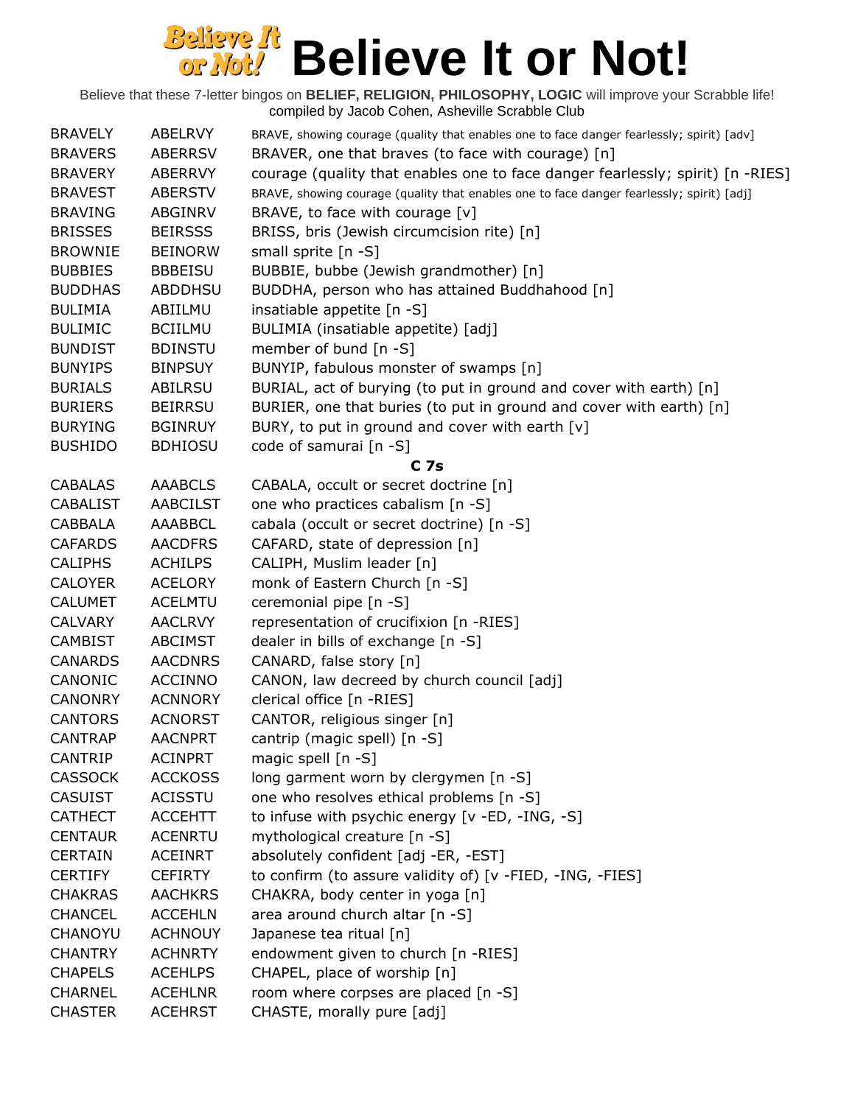| <b>BRAVELY</b>  | ABELRVY         | BRAVE, showing courage (quality that enables one to face danger fearlessly; spirit) [adv] |
|-----------------|-----------------|-------------------------------------------------------------------------------------------|
| <b>BRAVERS</b>  | <b>ABERRSV</b>  | BRAVER, one that braves (to face with courage) [n]                                        |
| <b>BRAVERY</b>  | ABERRVY         | courage (quality that enables one to face danger fearlessly; spirit) [n -RIES]            |
| <b>BRAVEST</b>  | <b>ABERSTV</b>  | BRAVE, showing courage (quality that enables one to face danger fearlessly; spirit) [adj] |
| <b>BRAVING</b>  | ABGINRV         | BRAVE, to face with courage [v]                                                           |
| <b>BRISSES</b>  | <b>BEIRSSS</b>  | BRISS, bris (Jewish circumcision rite) [n]                                                |
| <b>BROWNIE</b>  | <b>BEINORW</b>  | small sprite $[n -S]$                                                                     |
| <b>BUBBIES</b>  | <b>BBBEISU</b>  | BUBBIE, bubbe (Jewish grandmother) [n]                                                    |
| <b>BUDDHAS</b>  | ABDDHSU         | BUDDHA, person who has attained Buddhahood [n]                                            |
| <b>BULIMIA</b>  | ABIILMU         | insatiable appetite [n -S]                                                                |
| <b>BULIMIC</b>  | <b>BCIILMU</b>  | BULIMIA (insatiable appetite) [adj]                                                       |
| <b>BUNDIST</b>  | <b>BDINSTU</b>  | member of bund [n -S]                                                                     |
| <b>BUNYIPS</b>  | <b>BINPSUY</b>  | BUNYIP, fabulous monster of swamps [n]                                                    |
| <b>BURIALS</b>  | ABILRSU         | BURIAL, act of burying (to put in ground and cover with earth) [n]                        |
| <b>BURIERS</b>  | <b>BEIRRSU</b>  | BURIER, one that buries (to put in ground and cover with earth) [n]                       |
| <b>BURYING</b>  | <b>BGINRUY</b>  | BURY, to put in ground and cover with earth [v]                                           |
| <b>BUSHIDO</b>  | <b>BDHIOSU</b>  | code of samurai [n -S]                                                                    |
|                 |                 | C 7s                                                                                      |
| <b>CABALAS</b>  | <b>AAABCLS</b>  | CABALA, occult or secret doctrine [n]                                                     |
| <b>CABALIST</b> | <b>AABCILST</b> | one who practices cabalism [n -S]                                                         |
| <b>CABBALA</b>  | AAABBCL         | cabala (occult or secret doctrine) [n -S]                                                 |
| <b>CAFARDS</b>  | <b>AACDFRS</b>  | CAFARD, state of depression [n]                                                           |
| <b>CALIPHS</b>  | <b>ACHILPS</b>  | CALIPH, Muslim leader [n]                                                                 |
| <b>CALOYER</b>  | <b>ACELORY</b>  | monk of Eastern Church [n -S]                                                             |
| <b>CALUMET</b>  | <b>ACELMTU</b>  | ceremonial pipe [n -S]                                                                    |
| <b>CALVARY</b>  | <b>AACLRVY</b>  | representation of crucifixion [n -RIES]                                                   |
| <b>CAMBIST</b>  | <b>ABCIMST</b>  | dealer in bills of exchange [n -S]                                                        |
| <b>CANARDS</b>  | <b>AACDNRS</b>  | CANARD, false story [n]                                                                   |
| CANONIC         | <b>ACCINNO</b>  | CANON, law decreed by church council [adj]                                                |
| <b>CANONRY</b>  | <b>ACNNORY</b>  | clerical office [n -RIES]                                                                 |
| <b>CANTORS</b>  | <b>ACNORST</b>  | CANTOR, religious singer [n]                                                              |
| <b>CANTRAP</b>  | <b>AACNPRT</b>  | cantrip (magic spell) [n -S]                                                              |
| <b>CANTRIP</b>  | <b>ACINPRT</b>  | magic spell [n -S]                                                                        |
| <b>CASSOCK</b>  | <b>ACCKOSS</b>  | long garment worn by clergymen [n -S]                                                     |
| <b>CASUIST</b>  | <b>ACISSTU</b>  | one who resolves ethical problems [n -S]                                                  |
| <b>CATHECT</b>  | <b>ACCEHTT</b>  | to infuse with psychic energy [v -ED, -ING, -S]                                           |
| <b>CENTAUR</b>  | <b>ACENRTU</b>  | mythological creature [n -S]                                                              |
| <b>CERTAIN</b>  | <b>ACEINRT</b>  | absolutely confident [adj -ER, -EST]                                                      |
| <b>CERTIFY</b>  | <b>CEFIRTY</b>  | to confirm (to assure validity of) [v -FIED, -ING, -FIES]                                 |
| <b>CHAKRAS</b>  | <b>AACHKRS</b>  | CHAKRA, body center in yoga [n]                                                           |
| <b>CHANCEL</b>  | <b>ACCEHLN</b>  | area around church altar [n -S]                                                           |
| CHANOYU         | <b>ACHNOUY</b>  | Japanese tea ritual [n]                                                                   |
| <b>CHANTRY</b>  | <b>ACHNRTY</b>  | endowment given to church [n -RIES]                                                       |
| <b>CHAPELS</b>  | <b>ACEHLPS</b>  | CHAPEL, place of worship [n]                                                              |
| <b>CHARNEL</b>  | <b>ACEHLNR</b>  | room where corpses are placed [n -S]                                                      |
| <b>CHASTER</b>  | <b>ACEHRST</b>  | CHASTE, morally pure [adj]                                                                |
|                 |                 |                                                                                           |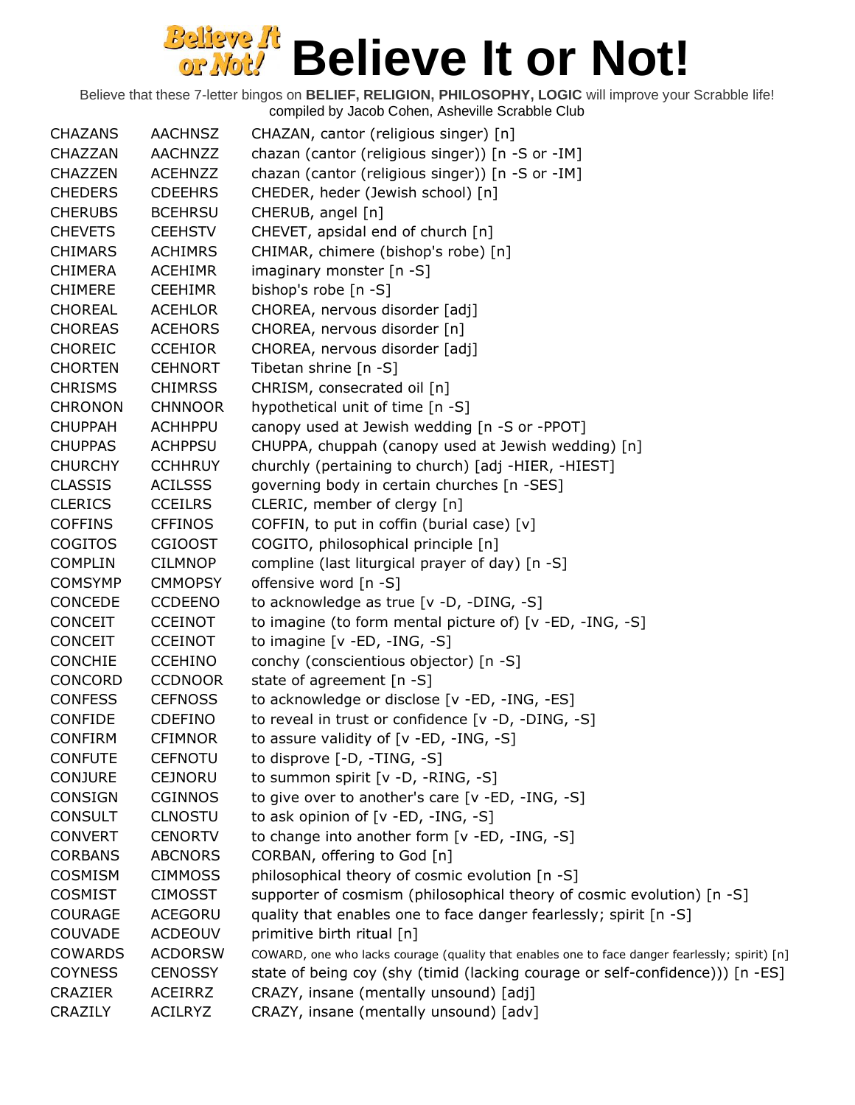| <b>CHAZANS</b> | <b>AACHNSZ</b> | CHAZAN, cantor (religious singer) [n]                                                          |
|----------------|----------------|------------------------------------------------------------------------------------------------|
| CHAZZAN        | <b>AACHNZZ</b> | chazan (cantor (religious singer)) [n -S or -IM]                                               |
| <b>CHAZZEN</b> | <b>ACEHNZZ</b> | chazan (cantor (religious singer)) [n -S or -IM]                                               |
| <b>CHEDERS</b> | <b>CDEEHRS</b> | CHEDER, heder (Jewish school) [n]                                                              |
| <b>CHERUBS</b> | <b>BCEHRSU</b> | CHERUB, angel [n]                                                                              |
| <b>CHEVETS</b> | <b>CEEHSTV</b> | CHEVET, apsidal end of church [n]                                                              |
| <b>CHIMARS</b> | <b>ACHIMRS</b> | CHIMAR, chimere (bishop's robe) [n]                                                            |
| <b>CHIMERA</b> | <b>ACEHIMR</b> | imaginary monster [n -S]                                                                       |
| <b>CHIMERE</b> | <b>CEEHIMR</b> | bishop's robe [n -S]                                                                           |
| <b>CHOREAL</b> | <b>ACEHLOR</b> | CHOREA, nervous disorder [adj]                                                                 |
| <b>CHOREAS</b> | <b>ACEHORS</b> | CHOREA, nervous disorder [n]                                                                   |
| <b>CHOREIC</b> | <b>CCEHIOR</b> | CHOREA, nervous disorder [adj]                                                                 |
| <b>CHORTEN</b> | <b>CEHNORT</b> | Tibetan shrine $[n -S]$                                                                        |
| <b>CHRISMS</b> | <b>CHIMRSS</b> | CHRISM, consecrated oil [n]                                                                    |
| <b>CHRONON</b> | <b>CHNNOOR</b> | hypothetical unit of time [n -S]                                                               |
| <b>CHUPPAH</b> | <b>ACHHPPU</b> | canopy used at Jewish wedding [n -S or -PPOT]                                                  |
| <b>CHUPPAS</b> | <b>ACHPPSU</b> | CHUPPA, chuppah (canopy used at Jewish wedding) [n]                                            |
| <b>CHURCHY</b> | <b>CCHHRUY</b> | churchly (pertaining to church) [adj -HIER, -HIEST]                                            |
| <b>CLASSIS</b> | <b>ACILSSS</b> | governing body in certain churches [n -SES]                                                    |
| <b>CLERICS</b> | <b>CCEILRS</b> | CLERIC, member of clergy [n]                                                                   |
| <b>COFFINS</b> | <b>CFFINOS</b> | COFFIN, to put in coffin (burial case) [v]                                                     |
| <b>COGITOS</b> | <b>CGIOOST</b> | COGITO, philosophical principle [n]                                                            |
| <b>COMPLIN</b> | <b>CILMNOP</b> | compline (last liturgical prayer of day) [n -S]                                                |
| <b>COMSYMP</b> | <b>CMMOPSY</b> | offensive word [n -S]                                                                          |
| CONCEDE        | <b>CCDEENO</b> | to acknowledge as true [v -D, -DING, -S]                                                       |
| <b>CONCEIT</b> | <b>CCEINOT</b> | to imagine (to form mental picture of) [v -ED, -ING, -S]                                       |
| <b>CONCEIT</b> | <b>CCEINOT</b> | to imagine $[v - ED, -ING, -S]$                                                                |
| <b>CONCHIE</b> | <b>CCEHINO</b> | conchy (conscientious objector) [n -S]                                                         |
| <b>CONCORD</b> | <b>CCDNOOR</b> | state of agreement [n -S]                                                                      |
| <b>CONFESS</b> | <b>CEFNOSS</b> | to acknowledge or disclose [v -ED, -ING, -ES]                                                  |
| CONFIDE        | <b>CDEFINO</b> | to reveal in trust or confidence [v -D, -DING, -S]                                             |
| <b>CONFIRM</b> | <b>CFIMNOR</b> | to assure validity of $[v - ED, -ING, -S]$                                                     |
| <b>CONFUTE</b> | <b>CEFNOTU</b> | to disprove [-D, -TING, -S]                                                                    |
| <b>CONJURE</b> | <b>CEJNORU</b> | to summon spirit [v -D, -RING, -S]                                                             |
| CONSIGN        | <b>CGINNOS</b> | to give over to another's care [v -ED, -ING, -S]                                               |
| <b>CONSULT</b> | <b>CLNOSTU</b> | to ask opinion of [v -ED, -ING, -S]                                                            |
| <b>CONVERT</b> | <b>CENORTV</b> | to change into another form [v -ED, -ING, -S]                                                  |
| <b>CORBANS</b> | <b>ABCNORS</b> | CORBAN, offering to God [n]                                                                    |
| <b>COSMISM</b> | <b>CIMMOSS</b> | philosophical theory of cosmic evolution [n -S]                                                |
| <b>COSMIST</b> | <b>CIMOSST</b> | supporter of cosmism (philosophical theory of cosmic evolution) [n -S]                         |
| <b>COURAGE</b> | <b>ACEGORU</b> | quality that enables one to face danger fearlessly; spirit [n -S]                              |
| COUVADE        | <b>ACDEOUV</b> | primitive birth ritual [n]                                                                     |
| <b>COWARDS</b> | <b>ACDORSW</b> | COWARD, one who lacks courage (quality that enables one to face danger fearlessly; spirit) [n] |
| <b>COYNESS</b> | <b>CENOSSY</b> | state of being coy (shy (timid (lacking courage or self-confidence))) [n -ES]                  |
| <b>CRAZIER</b> | <b>ACEIRRZ</b> | CRAZY, insane (mentally unsound) [adj]                                                         |
| CRAZILY        | <b>ACILRYZ</b> | CRAZY, insane (mentally unsound) [adv]                                                         |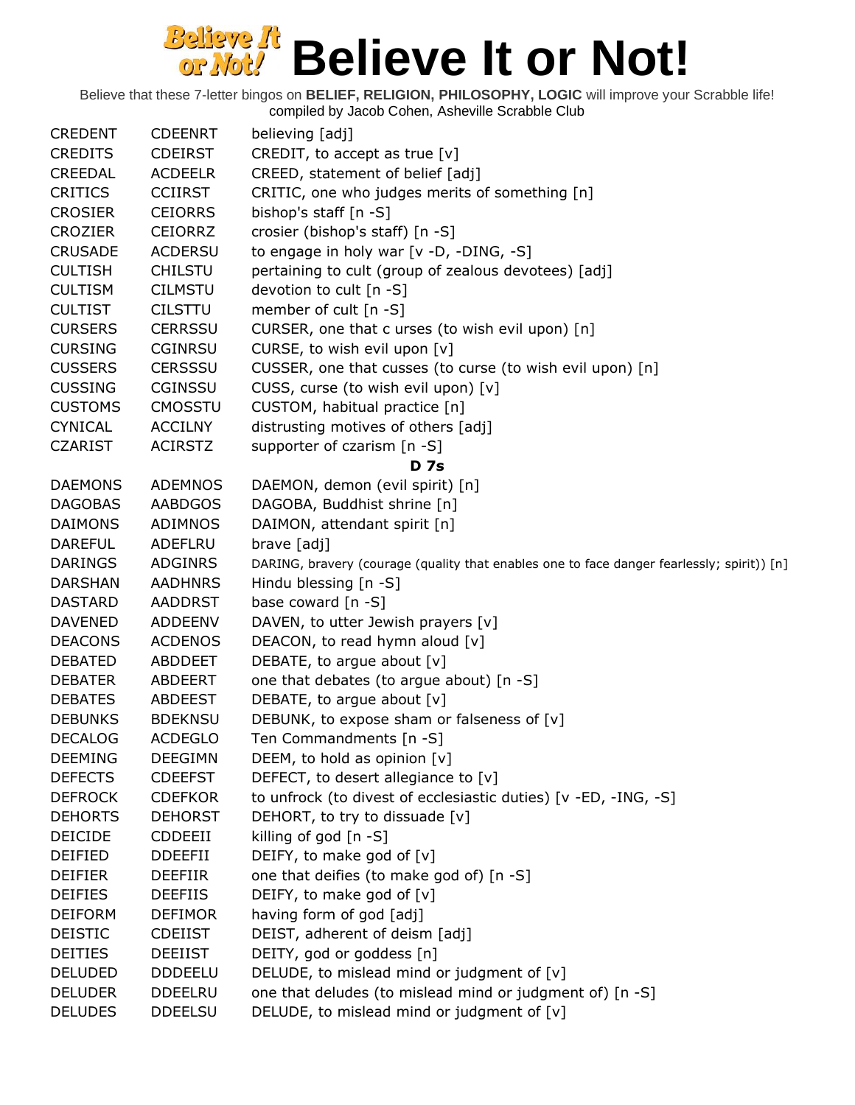| <b>CREDENT</b> | <b>CDEENRT</b> | believing [adj]                                                                                   |
|----------------|----------------|---------------------------------------------------------------------------------------------------|
| <b>CREDITS</b> | <b>CDEIRST</b> | CREDIT, to accept as true $[v]$                                                                   |
| <b>CREEDAL</b> | <b>ACDEELR</b> | CREED, statement of belief [adj]                                                                  |
| <b>CRITICS</b> | <b>CCIIRST</b> | CRITIC, one who judges merits of something [n]                                                    |
| <b>CROSIER</b> | <b>CEIORRS</b> | bishop's staff [n -S]                                                                             |
| <b>CROZIER</b> | <b>CEIORRZ</b> | crosier (bishop's staff) [n -S]                                                                   |
| <b>CRUSADE</b> | <b>ACDERSU</b> | to engage in holy war [v -D, -DING, -S]                                                           |
| <b>CULTISH</b> | <b>CHILSTU</b> | pertaining to cult (group of zealous devotees) [adj]                                              |
| <b>CULTISM</b> | <b>CILMSTU</b> | devotion to cult [n -S]                                                                           |
| <b>CULTIST</b> | <b>CILSTTU</b> | member of cult [n -S]                                                                             |
| <b>CURSERS</b> | <b>CERRSSU</b> | CURSER, one that c urses (to wish evil upon) [n]                                                  |
| <b>CURSING</b> | <b>CGINRSU</b> | CURSE, to wish evil upon [v]                                                                      |
| <b>CUSSERS</b> | CERSSSU        | CUSSER, one that cusses (to curse (to wish evil upon) [n]                                         |
| <b>CUSSING</b> | <b>CGINSSU</b> | CUSS, curse (to wish evil upon) [v]                                                               |
| <b>CUSTOMS</b> | <b>CMOSSTU</b> | CUSTOM, habitual practice [n]                                                                     |
| <b>CYNICAL</b> | <b>ACCILNY</b> | distrusting motives of others [adj]                                                               |
| <b>CZARIST</b> | <b>ACIRSTZ</b> | supporter of czarism [n -S]                                                                       |
|                |                | <b>D</b> 7s                                                                                       |
| <b>DAEMONS</b> | <b>ADEMNOS</b> | DAEMON, demon (evil spirit) [n]                                                                   |
| <b>DAGOBAS</b> | <b>AABDGOS</b> | DAGOBA, Buddhist shrine [n]                                                                       |
| <b>DAIMONS</b> | <b>ADIMNOS</b> | DAIMON, attendant spirit [n]                                                                      |
| <b>DAREFUL</b> | <b>ADEFLRU</b> | brave [adj]                                                                                       |
| <b>DARINGS</b> | <b>ADGINRS</b> | DARING, bravery (courage (quality that enables one to face danger fearlessly; spirit)) [n]        |
| <b>DARSHAN</b> | <b>AADHNRS</b> | Hindu blessing [n -S]                                                                             |
| <b>DASTARD</b> | <b>AADDRST</b> | base coward [n -S]                                                                                |
| <b>DAVENED</b> | <b>ADDEENV</b> | DAVEN, to utter Jewish prayers [v]                                                                |
| <b>DEACONS</b> | <b>ACDENOS</b> | DEACON, to read hymn aloud [v]                                                                    |
| <b>DEBATED</b> | <b>ABDDEET</b> | DEBATE, to argue about [v]                                                                        |
| <b>DEBATER</b> | ABDEERT        | one that debates (to argue about) [n -S]                                                          |
| <b>DEBATES</b> | ABDEEST        | DEBATE, to argue about [v]                                                                        |
| <b>DEBUNKS</b> | <b>BDEKNSU</b> | DEBUNK, to expose sham or falseness of [v]                                                        |
| <b>DECALOG</b> | <b>ACDEGLO</b> | Ten Commandments [n -S]                                                                           |
| <b>DEEMING</b> | <b>DEEGIMN</b> | DEEM, to hold as opinion $[v]$                                                                    |
| <b>DEFECTS</b> | <b>CDEEFST</b> | DEFECT, to desert allegiance to [v]                                                               |
| <b>DEFROCK</b> |                |                                                                                                   |
|                | <b>CDEFKOR</b> | to unfrock (to divest of ecclesiastic duties) [v -ED, -ING, -S]<br>DEHORT, to try to dissuade [v] |
| <b>DEHORTS</b> | <b>DEHORST</b> |                                                                                                   |
| <b>DEICIDE</b> | CDDEEII        | killing of god [n -S]                                                                             |
| DEIFIED        | <b>DDEEFII</b> | DEIFY, to make god of [v]                                                                         |
| <b>DEIFIER</b> | <b>DEEFIIR</b> | one that deifies (to make god of) [n -S]                                                          |
| <b>DEIFIES</b> | <b>DEEFIIS</b> | DEIFY, to make god of [v]                                                                         |
| <b>DEIFORM</b> | <b>DEFIMOR</b> | having form of god [adj]                                                                          |
| <b>DEISTIC</b> | <b>CDEIIST</b> | DEIST, adherent of deism [adj]                                                                    |
| <b>DEITIES</b> | <b>DEEIIST</b> | DEITY, god or goddess [n]                                                                         |
| <b>DELUDED</b> | <b>DDDEELU</b> | DELUDE, to mislead mind or judgment of [v]                                                        |
| <b>DELUDER</b> | <b>DDEELRU</b> | one that deludes (to mislead mind or judgment of) [n -S]                                          |
| <b>DELUDES</b> | <b>DDEELSU</b> | DELUDE, to mislead mind or judgment of [v]                                                        |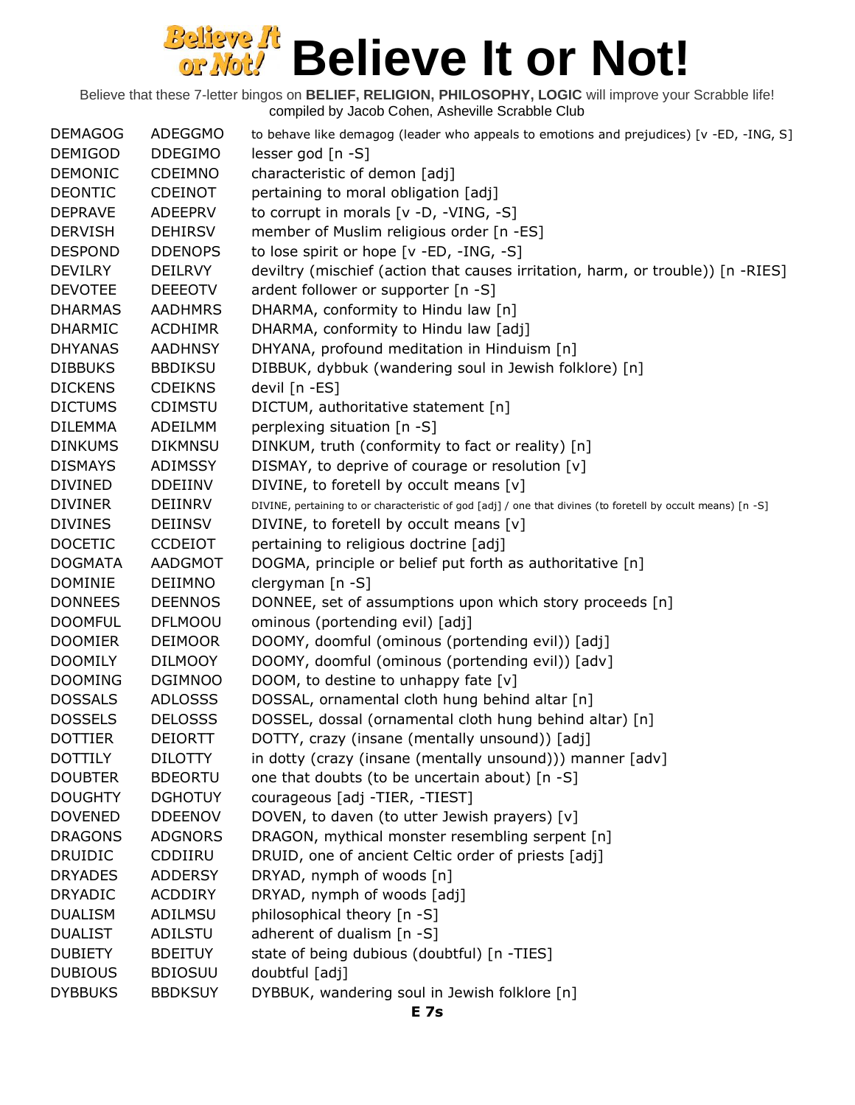| <b>DEMAGOG</b> | <b>ADEGGMO</b> | to behave like demagog (leader who appeals to emotions and prejudices) [v -ED, -ING, S]                      |
|----------------|----------------|--------------------------------------------------------------------------------------------------------------|
| <b>DEMIGOD</b> | <b>DDEGIMO</b> | lesser god [n -S]                                                                                            |
| <b>DEMONIC</b> | <b>CDEIMNO</b> | characteristic of demon [adj]                                                                                |
| <b>DEONTIC</b> | <b>CDEINOT</b> | pertaining to moral obligation [adj]                                                                         |
| <b>DEPRAVE</b> | <b>ADEEPRV</b> | to corrupt in morals $[v -D, -VING, -S]$                                                                     |
| <b>DERVISH</b> | <b>DEHIRSV</b> | member of Muslim religious order [n -ES]                                                                     |
| <b>DESPOND</b> | <b>DDENOPS</b> | to lose spirit or hope [v -ED, -ING, -S]                                                                     |
| <b>DEVILRY</b> | <b>DEILRVY</b> | deviltry (mischief (action that causes irritation, harm, or trouble)) [n -RIES]                              |
| <b>DEVOTEE</b> | <b>DEEEOTV</b> | ardent follower or supporter [n -S]                                                                          |
| <b>DHARMAS</b> | <b>AADHMRS</b> | DHARMA, conformity to Hindu law [n]                                                                          |
| <b>DHARMIC</b> | <b>ACDHIMR</b> | DHARMA, conformity to Hindu law [adj]                                                                        |
| <b>DHYANAS</b> | <b>AADHNSY</b> | DHYANA, profound meditation in Hinduism [n]                                                                  |
| <b>DIBBUKS</b> | <b>BBDIKSU</b> | DIBBUK, dybbuk (wandering soul in Jewish folklore) [n]                                                       |
| <b>DICKENS</b> | <b>CDEIKNS</b> | devil [n -ES]                                                                                                |
| <b>DICTUMS</b> | <b>CDIMSTU</b> | DICTUM, authoritative statement [n]                                                                          |
| <b>DILEMMA</b> | ADEILMM        | perplexing situation [n -S]                                                                                  |
| <b>DINKUMS</b> | <b>DIKMNSU</b> | DINKUM, truth (conformity to fact or reality) [n]                                                            |
| <b>DISMAYS</b> | ADIMSSY        | DISMAY, to deprive of courage or resolution [v]                                                              |
| <b>DIVINED</b> | <b>DDEIINV</b> | DIVINE, to foretell by occult means [v]                                                                      |
| <b>DIVINER</b> | DEIINRV        | DIVINE, pertaining to or characteristic of god [adj] / one that divines (to foretell by occult means) [n -S] |
| <b>DIVINES</b> | <b>DEIINSV</b> | DIVINE, to foretell by occult means [v]                                                                      |
| <b>DOCETIC</b> | <b>CCDEIOT</b> | pertaining to religious doctrine [adj]                                                                       |
| <b>DOGMATA</b> | AADGMOT        | DOGMA, principle or belief put forth as authoritative [n]                                                    |
| <b>DOMINIE</b> | <b>DEIIMNO</b> | clergyman [n -S]                                                                                             |
| <b>DONNEES</b> | <b>DEENNOS</b> | DONNEE, set of assumptions upon which story proceeds [n]                                                     |
| <b>DOOMFUL</b> | <b>DFLMOOU</b> | ominous (portending evil) [adj]                                                                              |
| <b>DOOMIER</b> | <b>DEIMOOR</b> | DOOMY, doomful (ominous (portending evil)) [adj]                                                             |
| <b>DOOMILY</b> | <b>DILMOOY</b> | DOOMY, doomful (ominous (portending evil)) [adv]                                                             |
| <b>DOOMING</b> | <b>DGIMNOO</b> | DOOM, to destine to unhappy fate [v]                                                                         |
| <b>DOSSALS</b> | <b>ADLOSSS</b> | DOSSAL, ornamental cloth hung behind altar [n]                                                               |
| <b>DOSSELS</b> | <b>DELOSSS</b> | DOSSEL, dossal (ornamental cloth hung behind altar) [n]                                                      |
| <b>DOTTIER</b> | <b>DEIORTT</b> | DOTTY, crazy (insane (mentally unsound)) [adj]                                                               |
| <b>DOTTILY</b> | <b>DILOTTY</b> | in dotty (crazy (insane (mentally unsound))) manner [adv]                                                    |
| <b>DOUBTER</b> | <b>BDEORTU</b> | one that doubts (to be uncertain about) [n -S]                                                               |
| <b>DOUGHTY</b> | <b>DGHOTUY</b> | courageous [adj -TIER, -TIEST]                                                                               |
| <b>DOVENED</b> | <b>DDEENOV</b> | DOVEN, to daven (to utter Jewish prayers) [v]                                                                |
| <b>DRAGONS</b> | <b>ADGNORS</b> | DRAGON, mythical monster resembling serpent [n]                                                              |
| <b>DRUIDIC</b> | CDDIIRU        | DRUID, one of ancient Celtic order of priests [adj]                                                          |
| <b>DRYADES</b> | <b>ADDERSY</b> | DRYAD, nymph of woods [n]                                                                                    |
| <b>DRYADIC</b> | <b>ACDDIRY</b> | DRYAD, nymph of woods [adj]                                                                                  |
| <b>DUALISM</b> | ADILMSU        | philosophical theory [n -S]                                                                                  |
| <b>DUALIST</b> | ADILSTU        | adherent of dualism [n -S]                                                                                   |
| <b>DUBIETY</b> | <b>BDEITUY</b> | state of being dubious (doubtful) [n -TIES]                                                                  |
| <b>DUBIOUS</b> | <b>BDIOSUU</b> | doubtful [adj]                                                                                               |
| <b>DYBBUKS</b> | <b>BBDKSUY</b> | DYBBUK, wandering soul in Jewish folklore [n]                                                                |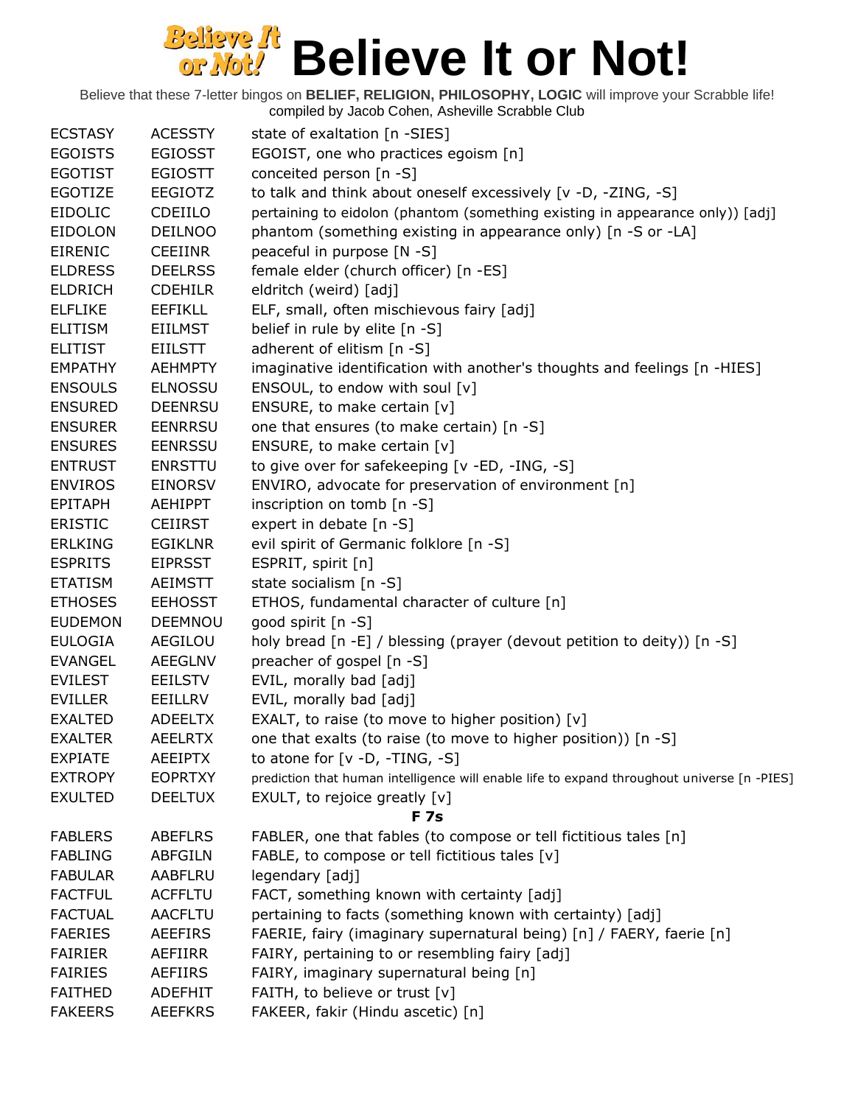| <b>ECSTASY</b> | <b>ACESSTY</b>                   | state of exaltation [n -SIES]                                                                      |
|----------------|----------------------------------|----------------------------------------------------------------------------------------------------|
| <b>EGOISTS</b> | <b>EGIOSST</b>                   | EGOIST, one who practices egoism [n]                                                               |
| <b>EGOTIST</b> | <b>EGIOSTT</b>                   | conceited person [n -S]                                                                            |
| <b>EGOTIZE</b> | <b>EEGIOTZ</b>                   | to talk and think about oneself excessively [v -D, -ZING, -S]                                      |
| <b>EIDOLIC</b> | CDEIILO                          | pertaining to eidolon (phantom (something existing in appearance only)) [adj]                      |
| <b>EIDOLON</b> | <b>DEILNOO</b>                   | phantom (something existing in appearance only) [n -S or -LA]                                      |
| <b>EIRENIC</b> | CEEIINR                          | peaceful in purpose [N -S]                                                                         |
| <b>ELDRESS</b> | <b>DEELRSS</b>                   | female elder (church officer) [n -ES]                                                              |
| <b>ELDRICH</b> | <b>CDEHILR</b>                   | eldritch (weird) [adj]                                                                             |
| <b>ELFLIKE</b> | <b>EEFIKLL</b>                   | ELF, small, often mischievous fairy [adj]                                                          |
| <b>ELITISM</b> | <b>EIILMST</b>                   | belief in rule by elite [n -S]                                                                     |
| <b>ELITIST</b> | <b>EIILSTT</b>                   | adherent of elitism [n -S]                                                                         |
| <b>EMPATHY</b> | <b>AEHMPTY</b>                   | imaginative identification with another's thoughts and feelings [n -HIES]                          |
| <b>ENSOULS</b> | <b>ELNOSSU</b>                   | ENSOUL, to endow with soul [v]                                                                     |
| <b>ENSURED</b> | <b>DEENRSU</b>                   | ENSURE, to make certain [v]                                                                        |
| <b>ENSURER</b> | <b>EENRRSU</b>                   | one that ensures (to make certain) [n -S]                                                          |
| <b>ENSURES</b> | <b>EENRSSU</b>                   | ENSURE, to make certain [v]                                                                        |
| <b>ENTRUST</b> | <b>ENRSTTU</b>                   | to give over for safekeeping [v -ED, -ING, -S]                                                     |
| <b>ENVIROS</b> | <b>EINORSV</b>                   | ENVIRO, advocate for preservation of environment [n]                                               |
| <b>EPITAPH</b> | AEHIPPT                          | inscription on tomb [n -S]                                                                         |
| <b>ERISTIC</b> | <b>CEIIRST</b>                   | expert in debate [n -S]                                                                            |
| <b>ERLKING</b> | EGIKLNR                          | evil spirit of Germanic folklore [n -S]                                                            |
| <b>ESPRITS</b> | <b>EIPRSST</b>                   | ESPRIT, spirit [n]                                                                                 |
| <b>ETATISM</b> | <b>AEIMSTT</b>                   | state socialism [n -S]                                                                             |
| <b>ETHOSES</b> | <b>EEHOSST</b>                   | ETHOS, fundamental character of culture [n]                                                        |
| <b>EUDEMON</b> | <b>DEEMNOU</b>                   | good spirit [n -S]                                                                                 |
| <b>EULOGIA</b> | AEGILOU                          | holy bread [n -E] / blessing (prayer (devout petition to deity)) [n -S]                            |
| <b>EVANGEL</b> | <b>AEEGLNV</b>                   | preacher of gospel [n -S]                                                                          |
| <b>EVILEST</b> | EEILSTV                          | EVIL, morally bad [adj]                                                                            |
| <b>EVILLER</b> | EEILLRV                          | EVIL, morally bad [adj]                                                                            |
| <b>EXALTED</b> | <b>ADEELTX</b>                   | EXALT, to raise (to move to higher position) [v]                                                   |
| <b>EXALTER</b> | <b>AEELRTX</b>                   |                                                                                                    |
| <b>EXPIATE</b> |                                  | one that exalts (to raise (to move to higher position)) [n -S]<br>to atone for $[v -D, -TING, -S]$ |
|                | <b>AEEIPTX</b><br><b>EOPRTXY</b> |                                                                                                    |
| <b>EXTROPY</b> |                                  | prediction that human intelligence will enable life to expand throughout universe [n -PIES]        |
| <b>EXULTED</b> | <b>DEELTUX</b>                   | EXULT, to rejoice greatly [v]                                                                      |
|                |                                  | <b>F</b> 7s                                                                                        |
| <b>FABLERS</b> | <b>ABEFLRS</b>                   | FABLER, one that fables (to compose or tell fictitious tales [n]                                   |
| <b>FABLING</b> | <b>ABFGILN</b>                   | FABLE, to compose or tell fictitious tales [v]                                                     |
| <b>FABULAR</b> | AABFLRU                          | legendary [adj]                                                                                    |
| <b>FACTFUL</b> | <b>ACFFLTU</b>                   | FACT, something known with certainty [adj]                                                         |
| <b>FACTUAL</b> | <b>AACFLTU</b>                   | pertaining to facts (something known with certainty) [adj]                                         |
| <b>FAERIES</b> | <b>AEEFIRS</b>                   | FAERIE, fairy (imaginary supernatural being) [n] / FAERY, faerie [n]                               |
| <b>FAIRIER</b> | AEFIIRR                          | FAIRY, pertaining to or resembling fairy [adj]                                                     |
| <b>FAIRIES</b> | <b>AEFIIRS</b>                   | FAIRY, imaginary supernatural being [n]                                                            |
| <b>FAITHED</b> | <b>ADEFHIT</b>                   | FAITH, to believe or trust [v]                                                                     |
| <b>FAKEERS</b> | <b>AEEFKRS</b>                   | FAKEER, fakir (Hindu ascetic) [n]                                                                  |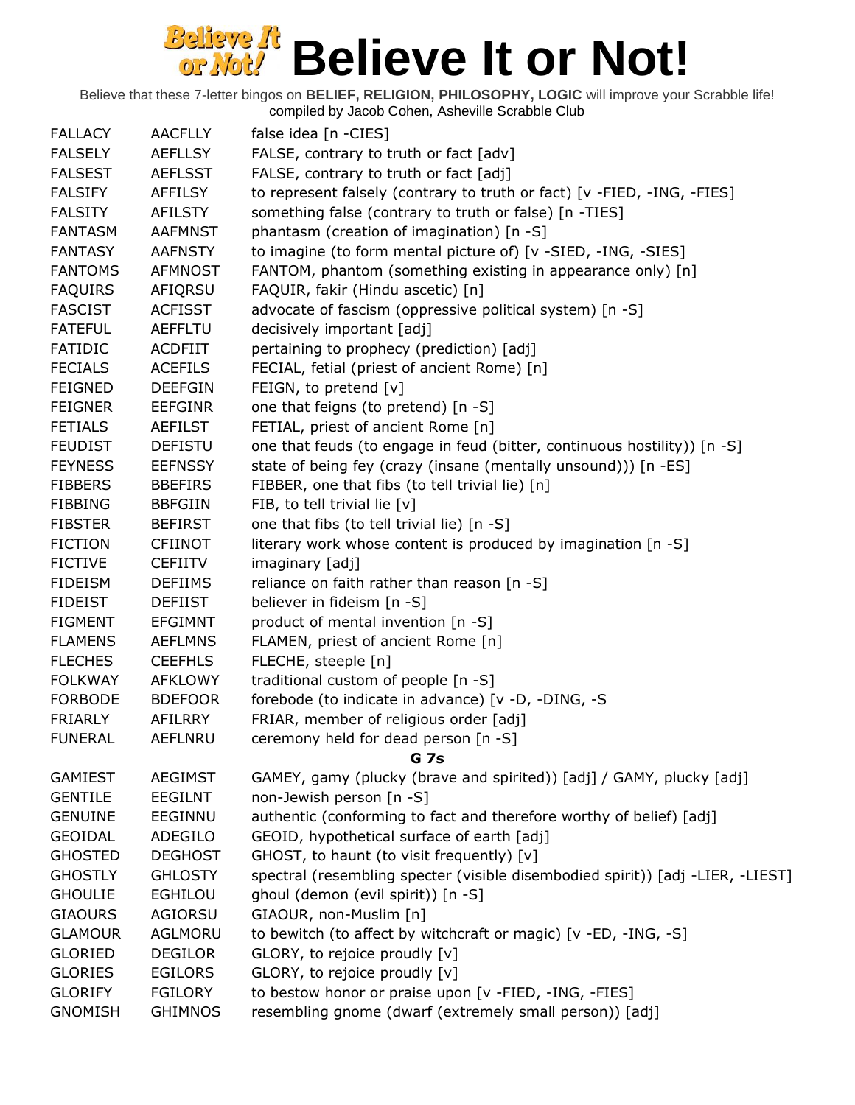| <b>FALLACY</b> | <b>AACFLLY</b> | false idea [n -CIES]                                                           |
|----------------|----------------|--------------------------------------------------------------------------------|
| <b>FALSELY</b> | <b>AEFLLSY</b> | FALSE, contrary to truth or fact [adv]                                         |
| <b>FALSEST</b> | <b>AEFLSST</b> | FALSE, contrary to truth or fact [adj]                                         |
| <b>FALSIFY</b> | AFFILSY        | to represent falsely (contrary to truth or fact) [v -FIED, -ING, -FIES]        |
| <b>FALSITY</b> | AFILSTY        | something false (contrary to truth or false) [n -TIES]                         |
| <b>FANTASM</b> | <b>AAFMNST</b> | phantasm (creation of imagination) [n -S]                                      |
| <b>FANTASY</b> | <b>AAFNSTY</b> | to imagine (to form mental picture of) [v -SIED, -ING, -SIES]                  |
| <b>FANTOMS</b> | <b>AFMNOST</b> | FANTOM, phantom (something existing in appearance only) [n]                    |
| <b>FAQUIRS</b> | AFIQRSU        | FAQUIR, fakir (Hindu ascetic) [n]                                              |
| <b>FASCIST</b> | <b>ACFISST</b> | advocate of fascism (oppressive political system) [n -S]                       |
| <b>FATEFUL</b> | <b>AEFFLTU</b> | decisively important [adj]                                                     |
| <b>FATIDIC</b> | <b>ACDFIIT</b> | pertaining to prophecy (prediction) [adj]                                      |
| <b>FECIALS</b> | <b>ACEFILS</b> | FECIAL, fetial (priest of ancient Rome) [n]                                    |
| <b>FEIGNED</b> | <b>DEEFGIN</b> | FEIGN, to pretend [v]                                                          |
| <b>FEIGNER</b> | <b>EEFGINR</b> | one that feigns (to pretend) [n -S]                                            |
| <b>FETIALS</b> | <b>AEFILST</b> | FETIAL, priest of ancient Rome [n]                                             |
| <b>FEUDIST</b> | <b>DEFISTU</b> | one that feuds (to engage in feud (bitter, continuous hostility)) [n -S]       |
| <b>FEYNESS</b> | <b>EEFNSSY</b> | state of being fey (crazy (insane (mentally unsound))) [n -ES]                 |
| <b>FIBBERS</b> | <b>BBEFIRS</b> | FIBBER, one that fibs (to tell trivial lie) [n]                                |
| <b>FIBBING</b> | <b>BBFGIIN</b> | FIB, to tell trivial lie [v]                                                   |
| <b>FIBSTER</b> | <b>BEFIRST</b> | one that fibs (to tell trivial lie) [n -S]                                     |
| <b>FICTION</b> | <b>CFIINOT</b> | literary work whose content is produced by imagination [n -S]                  |
| <b>FICTIVE</b> | <b>CEFIITV</b> | imaginary [adj]                                                                |
| <b>FIDEISM</b> | <b>DEFIIMS</b> | reliance on faith rather than reason [n -S]                                    |
| <b>FIDEIST</b> | <b>DEFIIST</b> | believer in fideism [n -S]                                                     |
| <b>FIGMENT</b> | <b>EFGIMNT</b> | product of mental invention [n -S]                                             |
| <b>FLAMENS</b> | <b>AEFLMNS</b> | FLAMEN, priest of ancient Rome [n]                                             |
| <b>FLECHES</b> | <b>CEEFHLS</b> | FLECHE, steeple [n]                                                            |
| <b>FOLKWAY</b> | <b>AFKLOWY</b> | traditional custom of people [n -S]                                            |
| <b>FORBODE</b> | <b>BDEFOOR</b> | forebode (to indicate in advance) [v -D, -DING, -S                             |
| <b>FRIARLY</b> | AFILRRY        | FRIAR, member of religious order [adj]                                         |
| <b>FUNERAL</b> | <b>AEFLNRU</b> | ceremony held for dead person [n -S]                                           |
|                |                | G 7s                                                                           |
| <b>GAMIEST</b> | <b>AEGIMST</b> | GAMEY, gamy (plucky (brave and spirited)) [adj] / GAMY, plucky [adj]           |
| <b>GENTILE</b> | <b>EEGILNT</b> | non-Jewish person [n -S]                                                       |
| <b>GENUINE</b> | EEGINNU        | authentic (conforming to fact and therefore worthy of belief) [adj]            |
| <b>GEOIDAL</b> | ADEGILO        | GEOID, hypothetical surface of earth [adj]                                     |
| <b>GHOSTED</b> | <b>DEGHOST</b> | GHOST, to haunt (to visit frequently) [v]                                      |
| <b>GHOSTLY</b> | <b>GHLOSTY</b> | spectral (resembling specter (visible disembodied spirit)) [adj -LIER, -LIEST] |
| <b>GHOULIE</b> | <b>EGHILOU</b> | ghoul (demon (evil spirit)) [n -S]                                             |
| <b>GIAOURS</b> | AGIORSU        | GIAOUR, non-Muslim [n]                                                         |
| <b>GLAMOUR</b> | AGLMORU        | to bewitch (to affect by witchcraft or magic) [v -ED, -ING, -S]                |
| <b>GLORIED</b> | <b>DEGILOR</b> | GLORY, to rejoice proudly [v]                                                  |
| <b>GLORIES</b> | <b>EGILORS</b> | GLORY, to rejoice proudly [v]                                                  |
| <b>GLORIFY</b> | <b>FGILORY</b> | to bestow honor or praise upon [v -FIED, -ING, -FIES]                          |
| <b>GNOMISH</b> | <b>GHIMNOS</b> | resembling gnome (dwarf (extremely small person)) [adj]                        |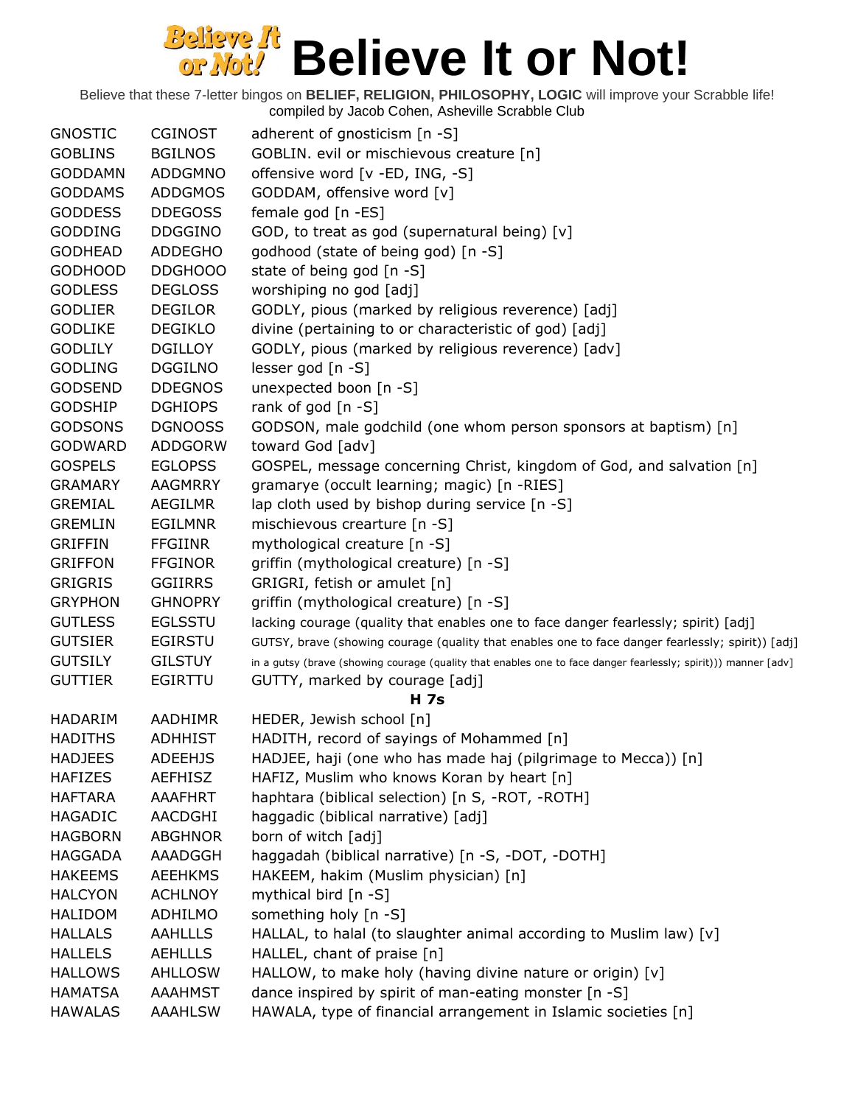| <b>GNOSTIC</b> | <b>CGINOST</b> | adherent of gnosticism [n -S]                                                                                  |
|----------------|----------------|----------------------------------------------------------------------------------------------------------------|
| <b>GOBLINS</b> | <b>BGILNOS</b> | GOBLIN. evil or mischievous creature [n]                                                                       |
| <b>GODDAMN</b> | <b>ADDGMNO</b> | offensive word [v -ED, ING, -S]                                                                                |
| <b>GODDAMS</b> | <b>ADDGMOS</b> | GODDAM, offensive word [v]                                                                                     |
| <b>GODDESS</b> | <b>DDEGOSS</b> | female god [n -ES]                                                                                             |
| <b>GODDING</b> | <b>DDGGINO</b> | GOD, to treat as god (supernatural being) [v]                                                                  |
| <b>GODHEAD</b> | <b>ADDEGHO</b> | godhood (state of being god) [n -S]                                                                            |
| <b>GODHOOD</b> | DDGHOOO        | state of being god [n -S]                                                                                      |
| <b>GODLESS</b> | <b>DEGLOSS</b> | worshiping no god [adj]                                                                                        |
| <b>GODLIER</b> | <b>DEGILOR</b> | GODLY, pious (marked by religious reverence) [adj]                                                             |
| <b>GODLIKE</b> | <b>DEGIKLO</b> | divine (pertaining to or characteristic of god) [adj]                                                          |
| <b>GODLILY</b> | <b>DGILLOY</b> | GODLY, pious (marked by religious reverence) [adv]                                                             |
| <b>GODLING</b> | <b>DGGILNO</b> | lesser god [n -S]                                                                                              |
| <b>GODSEND</b> | <b>DDEGNOS</b> | unexpected boon [n -S]                                                                                         |
| <b>GODSHIP</b> | <b>DGHIOPS</b> | rank of god [n -S]                                                                                             |
| <b>GODSONS</b> | <b>DGNOOSS</b> | GODSON, male godchild (one whom person sponsors at baptism) [n]                                                |
| <b>GODWARD</b> | ADDGORW        | toward God [adv]                                                                                               |
| <b>GOSPELS</b> | <b>EGLOPSS</b> | GOSPEL, message concerning Christ, kingdom of God, and salvation [n]                                           |
| <b>GRAMARY</b> | <b>AAGMRRY</b> | gramarye (occult learning; magic) [n -RIES]                                                                    |
| <b>GREMIAL</b> | AEGILMR        | lap cloth used by bishop during service [n -S]                                                                 |
| <b>GREMLIN</b> | <b>EGILMNR</b> | mischievous crearture [n -S]                                                                                   |
| <b>GRIFFIN</b> | <b>FFGIINR</b> | mythological creature [n -S]                                                                                   |
| <b>GRIFFON</b> | <b>FFGINOR</b> | griffin (mythological creature) [n -S]                                                                         |
| <b>GRIGRIS</b> | <b>GGIIRRS</b> | GRIGRI, fetish or amulet [n]                                                                                   |
| <b>GRYPHON</b> | <b>GHNOPRY</b> | griffin (mythological creature) [n -S]                                                                         |
| <b>GUTLESS</b> | <b>EGLSSTU</b> | lacking courage (quality that enables one to face danger fearlessly; spirit) [adj]                             |
| <b>GUTSIER</b> | <b>EGIRSTU</b> | GUTSY, brave (showing courage (quality that enables one to face danger fearlessly; spirit)) [adj]              |
| <b>GUTSILY</b> | <b>GILSTUY</b> | in a gutsy (brave (showing courage (quality that enables one to face danger fearlessly; spirit))) manner [adv] |
| <b>GUTTIER</b> | <b>EGIRTTU</b> | GUTTY, marked by courage [adj]                                                                                 |
|                |                | <b>H</b> 7s                                                                                                    |
| <b>HADARIM</b> | AADHIMR        | HEDER, Jewish school [n]                                                                                       |
| <b>HADITHS</b> | <b>ADHHIST</b> | HADITH, record of sayings of Mohammed [n]                                                                      |
| <b>HADJEES</b> | <b>ADEEHJS</b> | HADJEE, haji (one who has made haj (pilgrimage to Mecca)) [n]                                                  |
| <b>HAFIZES</b> | AEFHISZ        | HAFIZ, Muslim who knows Koran by heart [n]                                                                     |
| <b>HAFTARA</b> | AAAFHRT        | haphtara (biblical selection) [n S, -ROT, -ROTH]                                                               |
| <b>HAGADIC</b> | AACDGHI        | haggadic (biblical narrative) [adj]                                                                            |
| <b>HAGBORN</b> | <b>ABGHNOR</b> | born of witch [adj]                                                                                            |
| <b>HAGGADA</b> | AAADGGH        | haggadah (biblical narrative) [n -S, -DOT, -DOTH]                                                              |
| <b>HAKEEMS</b> | <b>AEEHKMS</b> | HAKEEM, hakim (Muslim physician) [n]                                                                           |
| <b>HALCYON</b> | <b>ACHLNOY</b> | mythical bird [n -S]                                                                                           |
| <b>HALIDOM</b> | ADHILMO        | something holy [n -S]                                                                                          |
| <b>HALLALS</b> | <b>AAHLLLS</b> | HALLAL, to halal (to slaughter animal according to Muslim law) [v]                                             |
| <b>HALLELS</b> | <b>AEHLLLS</b> | HALLEL, chant of praise [n]                                                                                    |
| <b>HALLOWS</b> | <b>AHLLOSW</b> | HALLOW, to make holy (having divine nature or origin) [v]                                                      |
| <b>HAMATSA</b> | <b>AAAHMST</b> | dance inspired by spirit of man-eating monster [n -S]                                                          |
| <b>HAWALAS</b> | <b>AAAHLSW</b> | HAWALA, type of financial arrangement in Islamic societies [n]                                                 |
|                |                |                                                                                                                |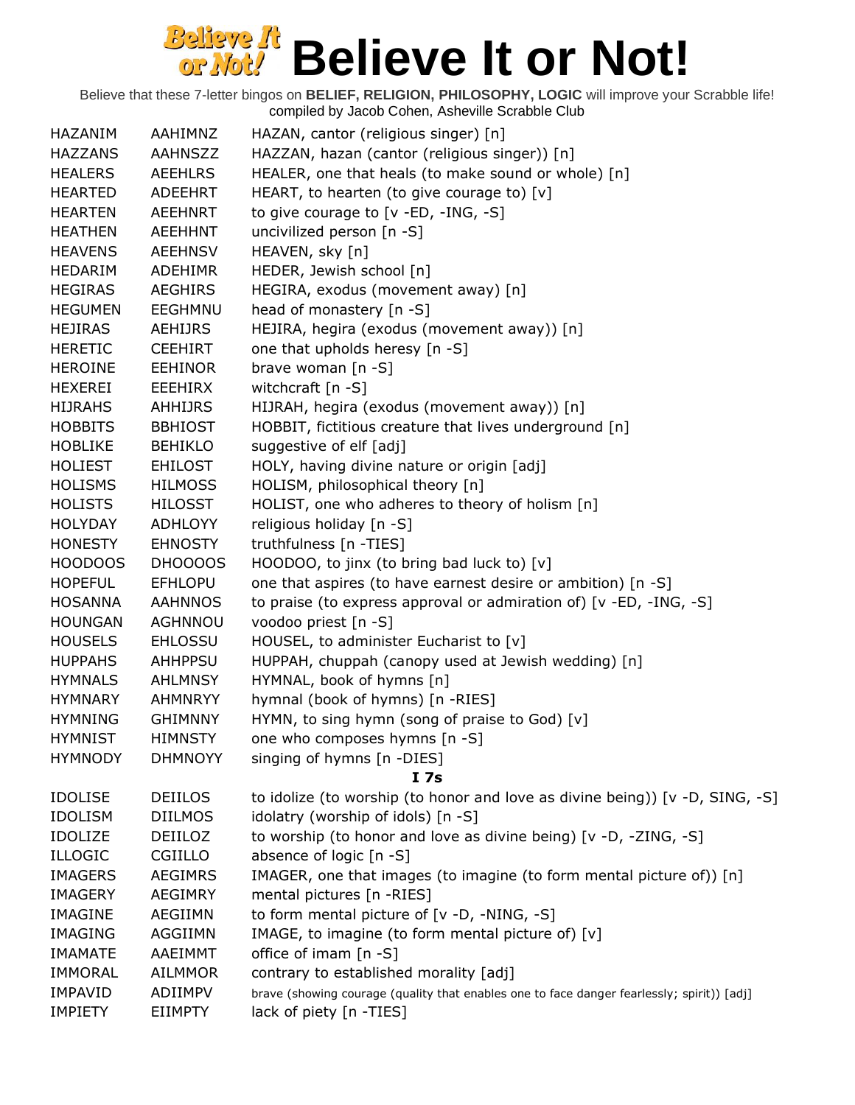| HAZANIM        | AAHIMNZ        | HAZAN, cantor (religious singer) [n]                                                       |
|----------------|----------------|--------------------------------------------------------------------------------------------|
| <b>HAZZANS</b> | AAHNSZZ        | HAZZAN, hazan (cantor (religious singer)) [n]                                              |
| <b>HEALERS</b> | <b>AEEHLRS</b> | HEALER, one that heals (to make sound or whole) [n]                                        |
| <b>HEARTED</b> | ADEEHRT        | HEART, to hearten (to give courage to) $[v]$                                               |
| <b>HEARTEN</b> | <b>AEEHNRT</b> | to give courage to $[v - ED, -ING, -S]$                                                    |
| <b>HEATHEN</b> | <b>AEEHHNT</b> | uncivilized person [n -S]                                                                  |
| <b>HEAVENS</b> | <b>AEEHNSV</b> | HEAVEN, sky [n]                                                                            |
| HEDARIM        | <b>ADEHIMR</b> | HEDER, Jewish school [n]                                                                   |
| <b>HEGIRAS</b> | <b>AEGHIRS</b> | HEGIRA, exodus (movement away) [n]                                                         |
| <b>HEGUMEN</b> | <b>EEGHMNU</b> | head of monastery [n -S]                                                                   |
| <b>HEJIRAS</b> | <b>AEHIJRS</b> | HEJIRA, hegira (exodus (movement away)) [n]                                                |
| <b>HERETIC</b> | <b>CEEHIRT</b> | one that upholds heresy [n -S]                                                             |
| <b>HEROINE</b> | <b>EEHINOR</b> | brave woman $[n -S]$                                                                       |
| <b>HEXEREI</b> | EEEHIRX        | witchcraft [n -S]                                                                          |
| <b>HIJRAHS</b> | <b>AHHIJRS</b> | HIJRAH, hegira (exodus (movement away)) [n]                                                |
| <b>HOBBITS</b> | <b>BBHIOST</b> | HOBBIT, fictitious creature that lives underground [n]                                     |
| <b>HOBLIKE</b> | <b>BEHIKLO</b> | suggestive of elf [adj]                                                                    |
| <b>HOLIEST</b> | <b>EHILOST</b> | HOLY, having divine nature or origin [adj]                                                 |
| <b>HOLISMS</b> | <b>HILMOSS</b> | HOLISM, philosophical theory [n]                                                           |
| <b>HOLISTS</b> | <b>HILOSST</b> | HOLIST, one who adheres to theory of holism [n]                                            |
| <b>HOLYDAY</b> | <b>ADHLOYY</b> | religious holiday [n -S]                                                                   |
| <b>HONESTY</b> | <b>EHNOSTY</b> | truthfulness [n -TIES]                                                                     |
| HOODOOS        | DHOOOOS        | HOODOO, to jinx (to bring bad luck to) [v]                                                 |
| <b>HOPEFUL</b> | <b>EFHLOPU</b> | one that aspires (to have earnest desire or ambition) [n -S]                               |
| <b>HOSANNA</b> | <b>AAHNNOS</b> | to praise (to express approval or admiration of) [v -ED, -ING, -S]                         |
| <b>HOUNGAN</b> | AGHNNOU        | voodoo priest [n -S]                                                                       |
| <b>HOUSELS</b> | <b>EHLOSSU</b> | HOUSEL, to administer Eucharist to [v]                                                     |
| <b>HUPPAHS</b> | <b>AHHPPSU</b> | HUPPAH, chuppah (canopy used at Jewish wedding) [n]                                        |
| <b>HYMNALS</b> | <b>AHLMNSY</b> | HYMNAL, book of hymns [n]                                                                  |
| <b>HYMNARY</b> | AHMNRYY        | hymnal (book of hymns) [n -RIES]                                                           |
| <b>HYMNING</b> | <b>GHIMNNY</b> | HYMN, to sing hymn (song of praise to God) [v]                                             |
| <b>HYMNIST</b> | <b>HIMNSTY</b> | one who composes hymns [n -S]                                                              |
| <b>HYMNODY</b> | <b>DHMNOYY</b> | singing of hymns [n -DIES]                                                                 |
|                |                | I <sub>7s</sub>                                                                            |
| <b>IDOLISE</b> | <b>DEIILOS</b> | to idolize (to worship (to honor and love as divine being)) [v -D, SING, -S]               |
| <b>IDOLISM</b> | <b>DIILMOS</b> | idolatry (worship of idols) [n -S]                                                         |
| <b>IDOLIZE</b> | DEIILOZ        | to worship (to honor and love as divine being) [v -D, -ZING, -S]                           |
| <b>ILLOGIC</b> | CGIILLO        | absence of logic [n -S]                                                                    |
| <b>IMAGERS</b> | <b>AEGIMRS</b> | IMAGER, one that images (to imagine (to form mental picture of)) [n]                       |
| <b>IMAGERY</b> | <b>AEGIMRY</b> | mental pictures [n -RIES]                                                                  |
| <b>IMAGINE</b> | AEGIIMN        | to form mental picture of [v -D, -NING, -S]                                                |
| <b>IMAGING</b> | AGGIIMN        | IMAGE, to imagine (to form mental picture of) [v]                                          |
| <b>IMAMATE</b> | AAEIMMT        | office of imam [n -S]                                                                      |
| <b>IMMORAL</b> | <b>AILMMOR</b> | contrary to established morality [adj]                                                     |
| <b>IMPAVID</b> | ADIIMPV        | brave (showing courage (quality that enables one to face danger fearlessly; spirit)) [adj] |
| <b>IMPIETY</b> | <b>EIIMPTY</b> | lack of piety [n -TIES]                                                                    |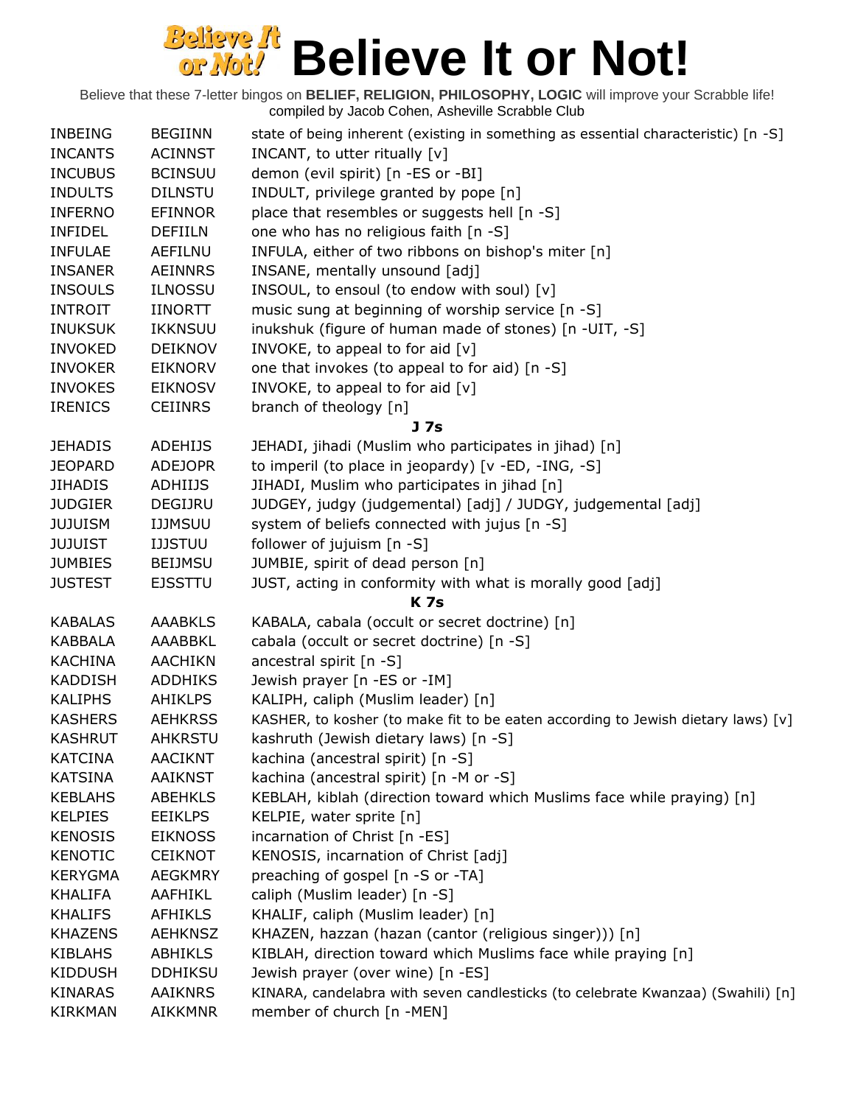| <b>INBEING</b> | <b>BEGIINN</b> | state of being inherent (existing in something as essential characteristic) $[n -S]$ |
|----------------|----------------|--------------------------------------------------------------------------------------|
| <b>INCANTS</b> | <b>ACINNST</b> | INCANT, to utter ritually [v]                                                        |
| <b>INCUBUS</b> | <b>BCINSUU</b> | demon (evil spirit) [n -ES or -BI]                                                   |
| <b>INDULTS</b> | <b>DILNSTU</b> | INDULT, privilege granted by pope [n]                                                |
| <b>INFERNO</b> | <b>EFINNOR</b> | place that resembles or suggests hell [n -S]                                         |
| <b>INFIDEL</b> | <b>DEFIILN</b> | one who has no religious faith [n -S]                                                |
| <b>INFULAE</b> | AEFILNU        | INFULA, either of two ribbons on bishop's miter [n]                                  |
| <b>INSANER</b> | <b>AEINNRS</b> | INSANE, mentally unsound [adj]                                                       |
| <b>INSOULS</b> | <b>ILNOSSU</b> | INSOUL, to ensoul (to endow with soul) [v]                                           |
| <b>INTROIT</b> | <b>IINORTT</b> | music sung at beginning of worship service [n -S]                                    |
| <b>INUKSUK</b> | <b>IKKNSUU</b> | inukshuk (figure of human made of stones) [n -UIT, -S]                               |
| <b>INVOKED</b> | <b>DEIKNOV</b> | INVOKE, to appeal to for aid [v]                                                     |
| <b>INVOKER</b> | <b>EIKNORV</b> | one that invokes (to appeal to for aid) [n -S]                                       |
| <b>INVOKES</b> | <b>EIKNOSV</b> | INVOKE, to appeal to for aid [v]                                                     |
| <b>IRENICS</b> | <b>CEIINRS</b> | branch of theology [n]                                                               |
|                |                | J <sub>7s</sub>                                                                      |
| <b>JEHADIS</b> | <b>ADEHIJS</b> | JEHADI, jihadi (Muslim who participates in jihad) [n]                                |
| <b>JEOPARD</b> | <b>ADEJOPR</b> | to imperil (to place in jeopardy) [v -ED, -ING, -S]                                  |
| <b>JIHADIS</b> | ADHIIJS        | JIHADI, Muslim who participates in jihad [n]                                         |
| <b>JUDGIER</b> | DEGIJRU        | JUDGEY, judgy (judgemental) [adj] / JUDGY, judgemental [adj]                         |
| <b>JUJUISM</b> | <b>IJJMSUU</b> | system of beliefs connected with jujus [n -S]                                        |
| <b>JUJUIST</b> | <b>IJJSTUU</b> | follower of jujuism $[n - S]$                                                        |
| <b>JUMBIES</b> | <b>BEIJMSU</b> | JUMBIE, spirit of dead person [n]                                                    |
| <b>JUSTEST</b> | <b>EJSSTTU</b> | JUST, acting in conformity with what is morally good [adj]                           |
|                |                | <b>K7s</b>                                                                           |
| <b>KABALAS</b> | <b>AAABKLS</b> | KABALA, cabala (occult or secret doctrine) [n]                                       |
| <b>KABBALA</b> | AAABBKL        | cabala (occult or secret doctrine) [n -S]                                            |
| <b>KACHINA</b> | <b>AACHIKN</b> | ancestral spirit [n -S]                                                              |
| <b>KADDISH</b> | <b>ADDHIKS</b> | Jewish prayer [n -ES or -IM]                                                         |
| <b>KALIPHS</b> | <b>AHIKLPS</b> | KALIPH, caliph (Muslim leader) [n]                                                   |
| <b>KASHERS</b> | <b>AEHKRSS</b> | KASHER, to kosher (to make fit to be eaten according to Jewish dietary laws) [v]     |
| <b>KASHRUT</b> | <b>AHKRSTU</b> | kashruth (Jewish dietary laws) [n -S]                                                |
| <b>KATCINA</b> | <b>AACIKNT</b> | kachina (ancestral spirit) [n -S]                                                    |
| <b>KATSINA</b> | <b>AAIKNST</b> | kachina (ancestral spirit) [n -M or -S]                                              |
| <b>KEBLAHS</b> | <b>ABEHKLS</b> | KEBLAH, kiblah (direction toward which Muslims face while praying) [n]               |
| <b>KELPIES</b> | <b>EEIKLPS</b> | KELPIE, water sprite [n]                                                             |
| <b>KENOSIS</b> | <b>EIKNOSS</b> | incarnation of Christ [n -ES]                                                        |
| <b>KENOTIC</b> | <b>CEIKNOT</b> | KENOSIS, incarnation of Christ [adj]                                                 |
| <b>KERYGMA</b> | <b>AEGKMRY</b> | preaching of gospel [n -S or -TA]                                                    |
| KHALIFA        | AAFHIKL        | caliph (Muslim leader) [n -S]                                                        |
| <b>KHALIFS</b> | <b>AFHIKLS</b> | KHALIF, caliph (Muslim leader) [n]                                                   |
| <b>KHAZENS</b> | <b>AEHKNSZ</b> | KHAZEN, hazzan (hazan (cantor (religious singer))) [n]                               |
| <b>KIBLAHS</b> | <b>ABHIKLS</b> | KIBLAH, direction toward which Muslims face while praying [n]                        |
| <b>KIDDUSH</b> | <b>DDHIKSU</b> | Jewish prayer (over wine) [n -ES]                                                    |
| <b>KINARAS</b> | <b>AAIKNRS</b> | KINARA, candelabra with seven candlesticks (to celebrate Kwanzaa) (Swahili) [n]      |
| <b>KIRKMAN</b> | <b>AIKKMNR</b> | member of church [n -MEN]                                                            |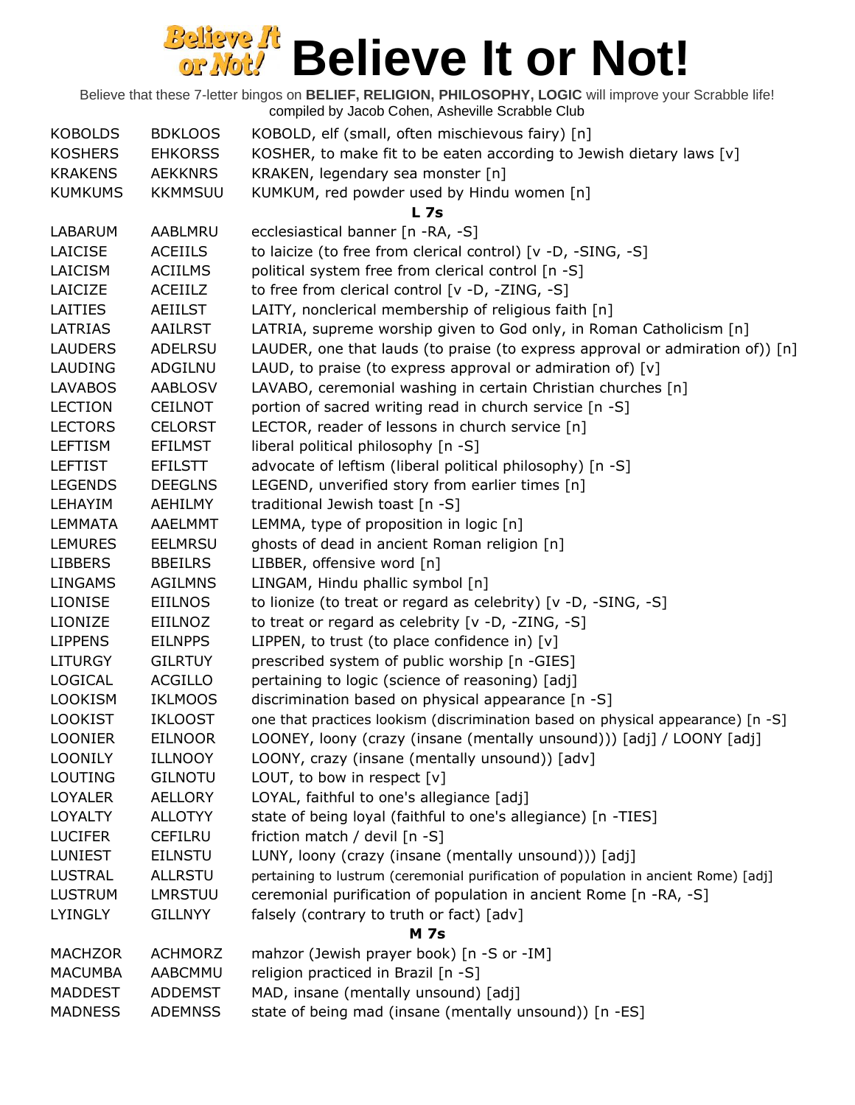| <b>KOBOLDS</b> | <b>BDKLOOS</b> | KOBOLD, elf (small, often mischievous fairy) [n]                                    |
|----------------|----------------|-------------------------------------------------------------------------------------|
| <b>KOSHERS</b> | <b>EHKORSS</b> | KOSHER, to make fit to be eaten according to Jewish dietary laws [v]                |
| <b>KRAKENS</b> | <b>AEKKNRS</b> | KRAKEN, legendary sea monster [n]                                                   |
| <b>KUMKUMS</b> | <b>KKMMSUU</b> | KUMKUM, red powder used by Hindu women [n]                                          |
|                |                | L <sub>7s</sub>                                                                     |
| LABARUM        | AABLMRU        | ecclesiastical banner [n -RA, -S]                                                   |
| LAICISE        | <b>ACEIILS</b> | to laicize (to free from clerical control) [v -D, -SING, -S]                        |
| LAICISM        | <b>ACIILMS</b> | political system free from clerical control [n -S]                                  |
| LAICIZE        | ACEIILZ        | to free from clerical control [v -D, -ZING, -S]                                     |
| <b>LAITIES</b> | AEIILST        | LAITY, nonclerical membership of religious faith [n]                                |
| LATRIAS        | AAILRST        | LATRIA, supreme worship given to God only, in Roman Catholicism [n]                 |
| <b>LAUDERS</b> | ADELRSU        | LAUDER, one that lauds (to praise (to express approval or admiration of)) [n]       |
| LAUDING        | ADGILNU        | LAUD, to praise (to express approval or admiration of) $[v]$                        |
| <b>LAVABOS</b> | <b>AABLOSV</b> | LAVABO, ceremonial washing in certain Christian churches [n]                        |
| <b>LECTION</b> | <b>CEILNOT</b> | portion of sacred writing read in church service [n -S]                             |
| <b>LECTORS</b> | <b>CELORST</b> | LECTOR, reader of lessons in church service [n]                                     |
| <b>LEFTISM</b> | <b>EFILMST</b> | liberal political philosophy [n -S]                                                 |
| <b>LEFTIST</b> | <b>EFILSTT</b> | advocate of leftism (liberal political philosophy) [n -S]                           |
| <b>LEGENDS</b> | <b>DEEGLNS</b> | LEGEND, unverified story from earlier times [n]                                     |
| LEHAYIM        | AEHILMY        | traditional Jewish toast [n -S]                                                     |
| <b>LEMMATA</b> | <b>AAELMMT</b> | LEMMA, type of proposition in logic [n]                                             |
| <b>LEMURES</b> | <b>EELMRSU</b> |                                                                                     |
|                |                | ghosts of dead in ancient Roman religion [n]                                        |
| <b>LIBBERS</b> | <b>BBEILRS</b> | LIBBER, offensive word [n]                                                          |
| <b>LINGAMS</b> | <b>AGILMNS</b> | LINGAM, Hindu phallic symbol [n]                                                    |
| <b>LIONISE</b> | <b>EIILNOS</b> | to lionize (to treat or regard as celebrity) [v -D, -SING, -S]                      |
| LIONIZE        | EIILNOZ        | to treat or regard as celebrity [v -D, -ZING, -S]                                   |
| <b>LIPPENS</b> | <b>EILNPPS</b> | LIPPEN, to trust (to place confidence in) $[v]$                                     |
| <b>LITURGY</b> | <b>GILRTUY</b> | prescribed system of public worship [n -GIES]                                       |
| LOGICAL        | <b>ACGILLO</b> | pertaining to logic (science of reasoning) [adj]                                    |
| <b>LOOKISM</b> | <b>IKLMOOS</b> | discrimination based on physical appearance [n -S]                                  |
| <b>LOOKIST</b> | <b>IKLOOST</b> | one that practices lookism (discrimination based on physical appearance) [n -S]     |
| <b>LOONIER</b> | <b>EILNOOR</b> | LOONEY, loony (crazy (insane (mentally unsound))) [adj] / LOONY [adj]               |
| <b>LOONILY</b> | <b>ILLNOOY</b> | LOONY, crazy (insane (mentally unsound)) [adv]                                      |
| LOUTING        | <b>GILNOTU</b> | LOUT, to bow in respect $[v]$                                                       |
| LOYALER        | <b>AELLORY</b> | LOYAL, faithful to one's allegiance [adj]                                           |
| <b>LOYALTY</b> | <b>ALLOTYY</b> | state of being loyal (faithful to one's allegiance) [n -TIES]                       |
| <b>LUCIFER</b> | <b>CEFILRU</b> | friction match / devil [n -S]                                                       |
| <b>LUNIEST</b> | <b>EILNSTU</b> | LUNY, loony (crazy (insane (mentally unsound))) [adj]                               |
| <b>LUSTRAL</b> | <b>ALLRSTU</b> | pertaining to lustrum (ceremonial purification of population in ancient Rome) [adj] |
| <b>LUSTRUM</b> | <b>LMRSTUU</b> | ceremonial purification of population in ancient Rome [n -RA, -S]                   |
| <b>LYINGLY</b> | <b>GILLNYY</b> | falsely (contrary to truth or fact) [adv]                                           |
|                |                | <b>M</b> 7s                                                                         |
| <b>MACHZOR</b> | <b>ACHMORZ</b> | mahzor (Jewish prayer book) [n -S or -IM]                                           |
| <b>MACUMBA</b> | AABCMMU        | religion practiced in Brazil [n -S]                                                 |
| <b>MADDEST</b> | <b>ADDEMST</b> | MAD, insane (mentally unsound) [adj]                                                |
| <b>MADNESS</b> | <b>ADEMNSS</b> | state of being mad (insane (mentally unsound)) [n -ES]                              |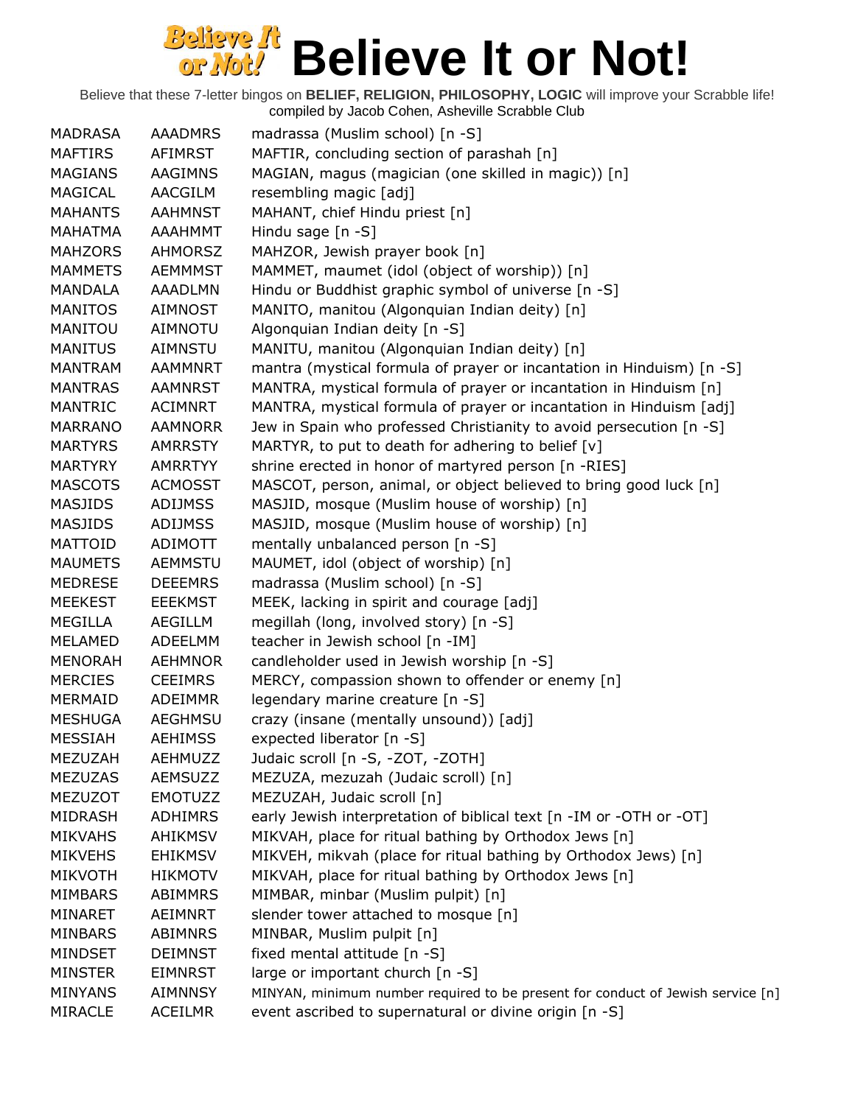| <b>MADRASA</b> | <b>AAADMRS</b> | madrassa (Muslim school) [n -S]                                                 |
|----------------|----------------|---------------------------------------------------------------------------------|
| <b>MAFTIRS</b> | <b>AFIMRST</b> | MAFTIR, concluding section of parashah [n]                                      |
| <b>MAGIANS</b> | AAGIMNS        | MAGIAN, magus (magician (one skilled in magic)) [n]                             |
| MAGICAL        | AACGILM        | resembling magic [adj]                                                          |
| <b>MAHANTS</b> | <b>AAHMNST</b> | MAHANT, chief Hindu priest [n]                                                  |
| MAHATMA        | <b>AAAHMMT</b> | Hindu sage $[n -S]$                                                             |
| <b>MAHZORS</b> | <b>AHMORSZ</b> | MAHZOR, Jewish prayer book [n]                                                  |
| <b>MAMMETS</b> | <b>AEMMMST</b> | MAMMET, maumet (idol (object of worship)) [n]                                   |
| MANDALA        | <b>AAADLMN</b> | Hindu or Buddhist graphic symbol of universe [n -S]                             |
| <b>MANITOS</b> | <b>AIMNOST</b> | MANITO, manitou (Algonquian Indian deity) [n]                                   |
| MANITOU        | <b>AIMNOTU</b> | Algonquian Indian deity [n -S]                                                  |
| <b>MANITUS</b> | <b>AIMNSTU</b> | MANITU, manitou (Algonquian Indian deity) [n]                                   |
| MANTRAM        | <b>AAMMNRT</b> | mantra (mystical formula of prayer or incantation in Hinduism) [n -S]           |
| <b>MANTRAS</b> | <b>AAMNRST</b> | MANTRA, mystical formula of prayer or incantation in Hinduism [n]               |
| <b>MANTRIC</b> | <b>ACIMNRT</b> | MANTRA, mystical formula of prayer or incantation in Hinduism [adj]             |
| <b>MARRANO</b> | <b>AAMNORR</b> | Jew in Spain who professed Christianity to avoid persecution [n -S]             |
| <b>MARTYRS</b> | <b>AMRRSTY</b> | MARTYR, to put to death for adhering to belief [v]                              |
| <b>MARTYRY</b> | <b>AMRRTYY</b> | shrine erected in honor of martyred person [n -RIES]                            |
| <b>MASCOTS</b> | <b>ACMOSST</b> | MASCOT, person, animal, or object believed to bring good luck [n]               |
| <b>MASJIDS</b> | <b>ADIJMSS</b> | MASJID, mosque (Muslim house of worship) [n]                                    |
| <b>MASJIDS</b> | <b>ADIJMSS</b> | MASJID, mosque (Muslim house of worship) [n]                                    |
| <b>MATTOID</b> | ADIMOTT        | mentally unbalanced person [n -S]                                               |
| <b>MAUMETS</b> | <b>AEMMSTU</b> | MAUMET, idol (object of worship) [n]                                            |
| <b>MEDRESE</b> | <b>DEEEMRS</b> | madrassa (Muslim school) [n -S]                                                 |
| <b>MEEKEST</b> | <b>EEEKMST</b> | MEEK, lacking in spirit and courage [adj]                                       |
| MEGILLA        | <b>AEGILLM</b> | megillah (long, involved story) [n -S]                                          |
| MELAMED        | ADEELMM        | teacher in Jewish school [n -IM]                                                |
| <b>MENORAH</b> | <b>AEHMNOR</b> | candleholder used in Jewish worship [n -S]                                      |
| <b>MERCIES</b> | <b>CEEIMRS</b> | MERCY, compassion shown to offender or enemy [n]                                |
| MERMAID        | <b>ADEIMMR</b> | legendary marine creature [n -S]                                                |
| <b>MESHUGA</b> | <b>AEGHMSU</b> | crazy (insane (mentally unsound)) [adj]                                         |
| <b>MESSIAH</b> | <b>AEHIMSS</b> | expected liberator [n -S]                                                       |
| MEZUZAH        | AEHMUZZ        | Judaic scroll [n -S, -ZOT, -ZOTH]                                               |
| <b>MEZUZAS</b> | <b>AEMSUZZ</b> | MEZUZA, mezuzah (Judaic scroll) [n]                                             |
| <b>MEZUZOT</b> | <b>EMOTUZZ</b> | MEZUZAH, Judaic scroll [n]                                                      |
| <b>MIDRASH</b> | <b>ADHIMRS</b> | early Jewish interpretation of biblical text [n -IM or -OTH or -OT]             |
| <b>MIKVAHS</b> | <b>AHIKMSV</b> | MIKVAH, place for ritual bathing by Orthodox Jews [n]                           |
| <b>MIKVEHS</b> | <b>EHIKMSV</b> | MIKVEH, mikvah (place for ritual bathing by Orthodox Jews) [n]                  |
| <b>MIKVOTH</b> | HIKMOTV        | MIKVAH, place for ritual bathing by Orthodox Jews [n]                           |
| <b>MIMBARS</b> | ABIMMRS        | MIMBAR, minbar (Muslim pulpit) [n]                                              |
| MINARET        | <b>AEIMNRT</b> | slender tower attached to mosque [n]                                            |
| <b>MINBARS</b> | <b>ABIMNRS</b> | MINBAR, Muslim pulpit [n]                                                       |
| <b>MINDSET</b> | <b>DEIMNST</b> | fixed mental attitude [n -S]                                                    |
| <b>MINSTER</b> | <b>EIMNRST</b> | large or important church [n -S]                                                |
| <b>MINYANS</b> | <b>AIMNNSY</b> | MINYAN, minimum number required to be present for conduct of Jewish service [n] |
| <b>MIRACLE</b> |                | event ascribed to supernatural or divine origin [n -S]                          |
|                | <b>ACEILMR</b> |                                                                                 |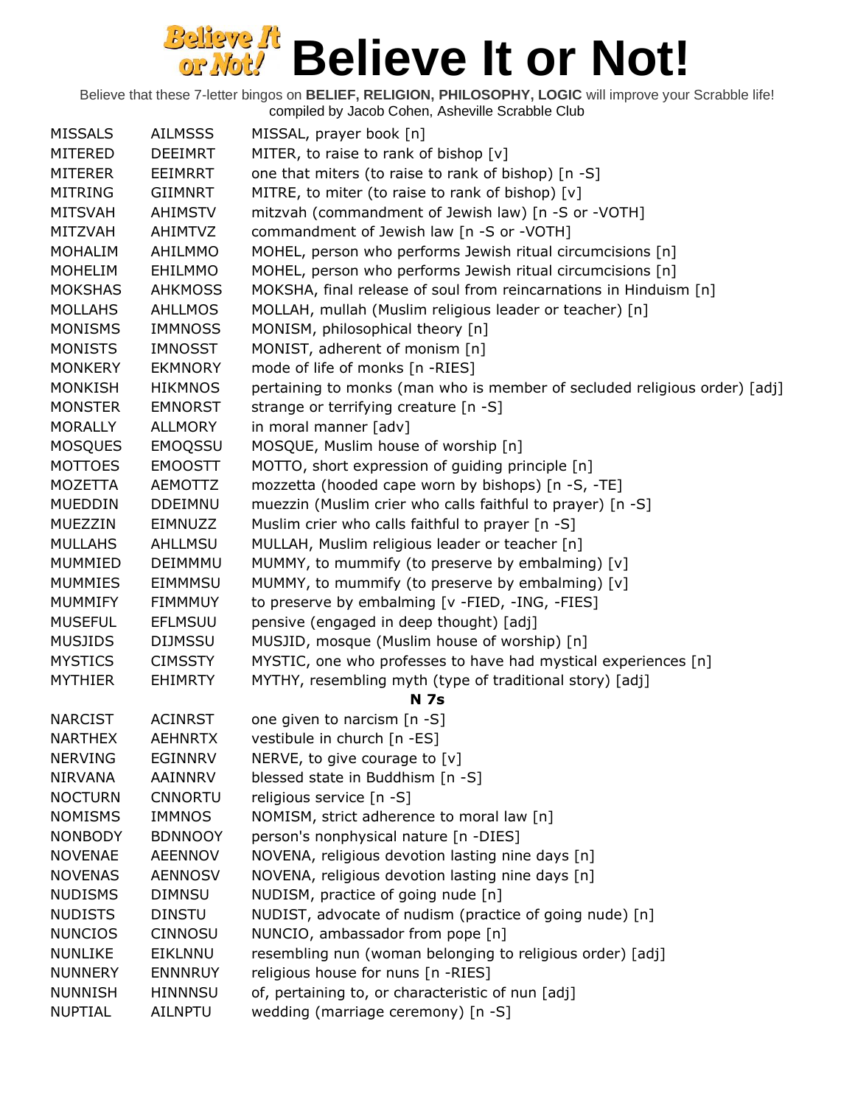| <b>MISSALS</b> | <b>AILMSSS</b> | MISSAL, prayer book [n]                                                   |
|----------------|----------------|---------------------------------------------------------------------------|
| MITERED        | <b>DEEIMRT</b> | MITER, to raise to rank of bishop $[v]$                                   |
| MITERER        | EEIMRRT        | one that miters (to raise to rank of bishop) [n -S]                       |
| <b>MITRING</b> | <b>GIIMNRT</b> | MITRE, to miter (to raise to rank of bishop) [v]                          |
| <b>MITSVAH</b> | <b>AHIMSTV</b> | mitzvah (commandment of Jewish law) [n -S or -VOTH]                       |
| <b>MITZVAH</b> | <b>AHIMTVZ</b> | commandment of Jewish law [n -S or -VOTH]                                 |
| <b>MOHALIM</b> | AHILMMO        | MOHEL, person who performs Jewish ritual circumcisions [n]                |
| <b>MOHELIM</b> | <b>EHILMMO</b> | MOHEL, person who performs Jewish ritual circumcisions [n]                |
| <b>MOKSHAS</b> | <b>AHKMOSS</b> | MOKSHA, final release of soul from reincarnations in Hinduism [n]         |
| <b>MOLLAHS</b> | <b>AHLLMOS</b> | MOLLAH, mullah (Muslim religious leader or teacher) [n]                   |
| <b>MONISMS</b> | <b>IMMNOSS</b> | MONISM, philosophical theory [n]                                          |
| <b>MONISTS</b> | <b>IMNOSST</b> | MONIST, adherent of monism [n]                                            |
| <b>MONKERY</b> | <b>EKMNORY</b> | mode of life of monks [n -RIES]                                           |
| <b>MONKISH</b> | <b>HIKMNOS</b> | pertaining to monks (man who is member of secluded religious order) [adj] |
| <b>MONSTER</b> | <b>EMNORST</b> | strange or terrifying creature [n -S]                                     |
| <b>MORALLY</b> | <b>ALLMORY</b> | in moral manner [adv]                                                     |
| <b>MOSQUES</b> | <b>EMOQSSU</b> | MOSQUE, Muslim house of worship [n]                                       |
| <b>MOTTOES</b> | <b>EMOOSTT</b> | MOTTO, short expression of guiding principle [n]                          |
| MOZETTA        | <b>AEMOTTZ</b> | mozzetta (hooded cape worn by bishops) [n -S, -TE]                        |
| <b>MUEDDIN</b> | <b>DDEIMNU</b> | muezzin (Muslim crier who calls faithful to prayer) [n -S]                |
| <b>MUEZZIN</b> | EIMNUZZ        | Muslim crier who calls faithful to prayer [n -S]                          |
| <b>MULLAHS</b> | <b>AHLLMSU</b> | MULLAH, Muslim religious leader or teacher [n]                            |
| <b>MUMMIED</b> | DEIMMMU        | MUMMY, to mummify (to preserve by embalming) [v]                          |
| <b>MUMMIES</b> | <b>EIMMMSU</b> | MUMMY, to mummify (to preserve by embalming) [v]                          |
| <b>MUMMIFY</b> | <b>FIMMMUY</b> | to preserve by embalming [v -FIED, -ING, -FIES]                           |
| <b>MUSEFUL</b> | <b>EFLMSUU</b> | pensive (engaged in deep thought) [adj]                                   |
| <b>MUSJIDS</b> | <b>DIJMSSU</b> | MUSJID, mosque (Muslim house of worship) [n]                              |
| <b>MYSTICS</b> | <b>CIMSSTY</b> | MYSTIC, one who professes to have had mystical experiences [n]            |
| <b>MYTHIER</b> | <b>EHIMRTY</b> | MYTHY, resembling myth (type of traditional story) [adj]                  |
|                |                | <b>N</b> 7s                                                               |
| <b>NARCIST</b> | <b>ACINRST</b> | one given to narcism [n -S]                                               |
| <b>NARTHEX</b> | <b>AEHNRTX</b> | vestibule in church [n -ES]                                               |
| <b>NERVING</b> | <b>EGINNRV</b> | NERVE, to give courage to $[v]$                                           |
| <b>NIRVANA</b> | AAINNRV        | blessed state in Buddhism [n -S]                                          |
| <b>NOCTURN</b> | <b>CNNORTU</b> | religious service [n -S]                                                  |
| <b>NOMISMS</b> | <b>IMMNOS</b>  | NOMISM, strict adherence to moral law [n]                                 |
| <b>NONBODY</b> | <b>BDNNOOY</b> | person's nonphysical nature [n -DIES]                                     |
| <b>NOVENAE</b> | <b>AEENNOV</b> | NOVENA, religious devotion lasting nine days [n]                          |
| <b>NOVENAS</b> | <b>AENNOSV</b> | NOVENA, religious devotion lasting nine days [n]                          |
| <b>NUDISMS</b> | <b>DIMNSU</b>  | NUDISM, practice of going nude [n]                                        |
| <b>NUDISTS</b> | <b>DINSTU</b>  | NUDIST, advocate of nudism (practice of going nude) [n]                   |
| <b>NUNCIOS</b> | <b>CINNOSU</b> | NUNCIO, ambassador from pope [n]                                          |
| <b>NUNLIKE</b> | EIKLNNU        | resembling nun (woman belonging to religious order) [adj]                 |
| <b>NUNNERY</b> | <b>ENNNRUY</b> | religious house for nuns [n -RIES]                                        |
| <b>NUNNISH</b> | <b>HINNNSU</b> | of, pertaining to, or characteristic of nun [adj]                         |
| <b>NUPTIAL</b> | <b>AILNPTU</b> | wedding (marriage ceremony) [n -S]                                        |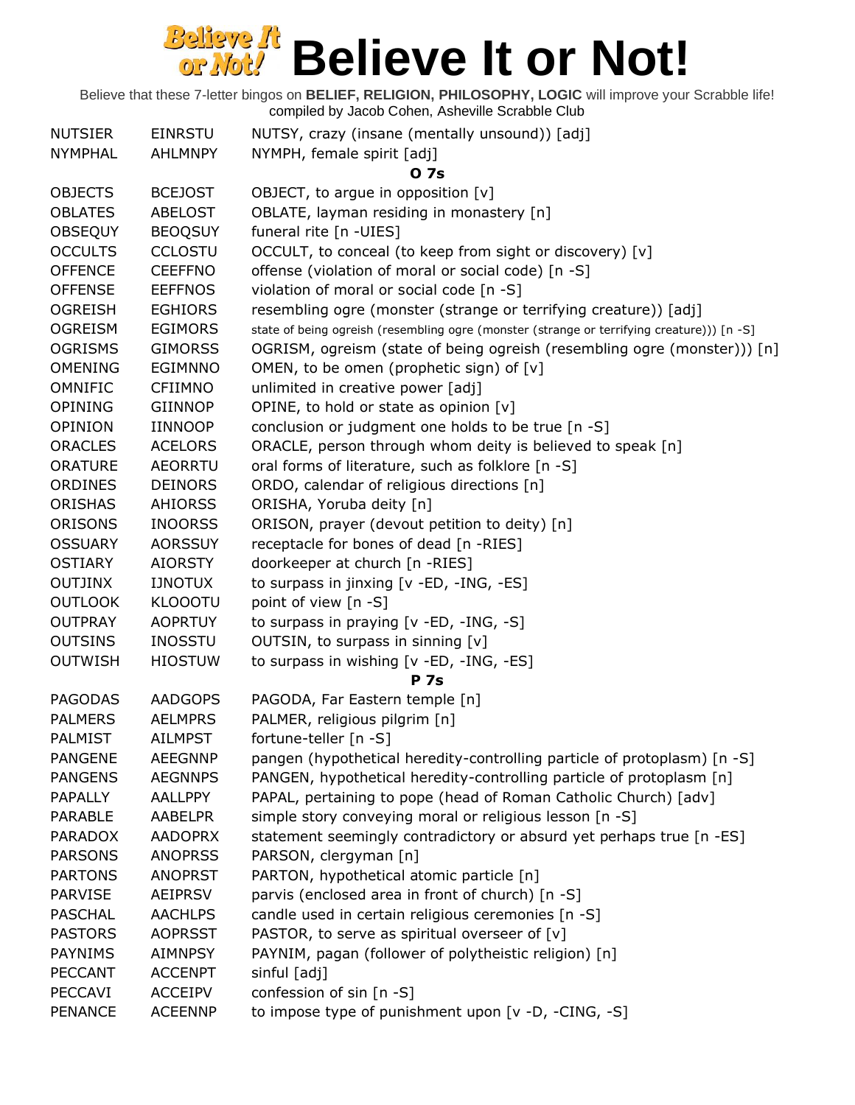| <b>NUTSIER</b> | <b>EINRSTU</b> | NUTSY, crazy (insane (mentally unsound)) [adj]                                             |
|----------------|----------------|--------------------------------------------------------------------------------------------|
| <b>NYMPHAL</b> | <b>AHLMNPY</b> | NYMPH, female spirit [adj]                                                                 |
|                |                | 0 7s                                                                                       |
| <b>OBJECTS</b> | <b>BCEJOST</b> | OBJECT, to argue in opposition [v]                                                         |
| <b>OBLATES</b> | <b>ABELOST</b> | OBLATE, layman residing in monastery [n]                                                   |
| <b>OBSEQUY</b> | <b>BEOQSUY</b> | funeral rite [n -UIES]                                                                     |
| <b>OCCULTS</b> | <b>CCLOSTU</b> | OCCULT, to conceal (to keep from sight or discovery) [v]                                   |
| <b>OFFENCE</b> | <b>CEEFFNO</b> | offense (violation of moral or social code) [n -S]                                         |
| <b>OFFENSE</b> | <b>EEFFNOS</b> | violation of moral or social code [n -S]                                                   |
| <b>OGREISH</b> | <b>EGHIORS</b> | resembling ogre (monster (strange or terrifying creature)) [adj]                           |
| <b>OGREISM</b> | <b>EGIMORS</b> | state of being ogreish (resembling ogre (monster (strange or terrifying creature))) [n -S] |
| <b>OGRISMS</b> | <b>GIMORSS</b> | OGRISM, ogreism (state of being ogreish (resembling ogre (monster))) [n]                   |
| <b>OMENING</b> | <b>EGIMNNO</b> | OMEN, to be omen (prophetic sign) of [v]                                                   |
| <b>OMNIFIC</b> | <b>CFIIMNO</b> | unlimited in creative power [adj]                                                          |
| <b>OPINING</b> | GIINNOP        | OPINE, to hold or state as opinion [v]                                                     |
| OPINION        | <b>IINNOOP</b> | conclusion or judgment one holds to be true [n -S]                                         |
| <b>ORACLES</b> | <b>ACELORS</b> | ORACLE, person through whom deity is believed to speak [n]                                 |
| <b>ORATURE</b> | <b>AEORRTU</b> | oral forms of literature, such as folklore [n -S]                                          |
| <b>ORDINES</b> | <b>DEINORS</b> | ORDO, calendar of religious directions [n]                                                 |
| <b>ORISHAS</b> | <b>AHIORSS</b> | ORISHA, Yoruba deity [n]                                                                   |
| <b>ORISONS</b> | <b>INOORSS</b> | ORISON, prayer (devout petition to deity) [n]                                              |
| <b>OSSUARY</b> | <b>AORSSUY</b> | receptacle for bones of dead [n -RIES]                                                     |
| <b>OSTIARY</b> | <b>AIORSTY</b> | doorkeeper at church [n -RIES]                                                             |
| <b>OUTJINX</b> | <b>IJNOTUX</b> | to surpass in jinxing [v -ED, -ING, -ES]                                                   |
| <b>OUTLOOK</b> | <b>KLOOOTU</b> | point of view [n -S]                                                                       |
| <b>OUTPRAY</b> | <b>AOPRTUY</b> | to surpass in praying [v -ED, -ING, -S]                                                    |
| <b>OUTSINS</b> | <b>INOSSTU</b> | OUTSIN, to surpass in sinning [v]                                                          |
| <b>OUTWISH</b> | <b>HIOSTUW</b> | to surpass in wishing [v -ED, -ING, -ES]                                                   |
|                |                | <b>P</b> 7s                                                                                |
| <b>PAGODAS</b> | <b>AADGOPS</b> | PAGODA, Far Eastern temple [n]                                                             |
| <b>PALMERS</b> | <b>AELMPRS</b> | PALMER, religious pilgrim [n]                                                              |
| <b>PALMIST</b> | <b>AILMPST</b> | fortune-teller [n -S]                                                                      |
| <b>PANGENE</b> | <b>AEEGNNP</b> | pangen (hypothetical heredity-controlling particle of protoplasm) [n -S]                   |
| <b>PANGENS</b> | <b>AEGNNPS</b> | PANGEN, hypothetical heredity-controlling particle of protoplasm [n]                       |
| <b>PAPALLY</b> | <b>AALLPPY</b> | PAPAL, pertaining to pope (head of Roman Catholic Church) [adv]                            |
| <b>PARABLE</b> | <b>AABELPR</b> | simple story conveying moral or religious lesson [n -S]                                    |
| <b>PARADOX</b> | <b>AADOPRX</b> | statement seemingly contradictory or absurd yet perhaps true [n -ES]                       |
| <b>PARSONS</b> | <b>ANOPRSS</b> | PARSON, clergyman [n]                                                                      |
| <b>PARTONS</b> | <b>ANOPRST</b> | PARTON, hypothetical atomic particle [n]                                                   |
| <b>PARVISE</b> | <b>AEIPRSV</b> | parvis (enclosed area in front of church) [n -S]                                           |
| <b>PASCHAL</b> | <b>AACHLPS</b> | candle used in certain religious ceremonies [n -S]                                         |
| <b>PASTORS</b> | <b>AOPRSST</b> | PASTOR, to serve as spiritual overseer of [v]                                              |
| <b>PAYNIMS</b> | <b>AIMNPSY</b> | PAYNIM, pagan (follower of polytheistic religion) [n]                                      |
| <b>PECCANT</b> | <b>ACCENPT</b> | sinful [adj]                                                                               |
| <b>PECCAVI</b> | <b>ACCEIPV</b> | confession of sin [n -S]                                                                   |
| <b>PENANCE</b> | <b>ACEENNP</b> | to impose type of punishment upon [v -D, -CING, -S]                                        |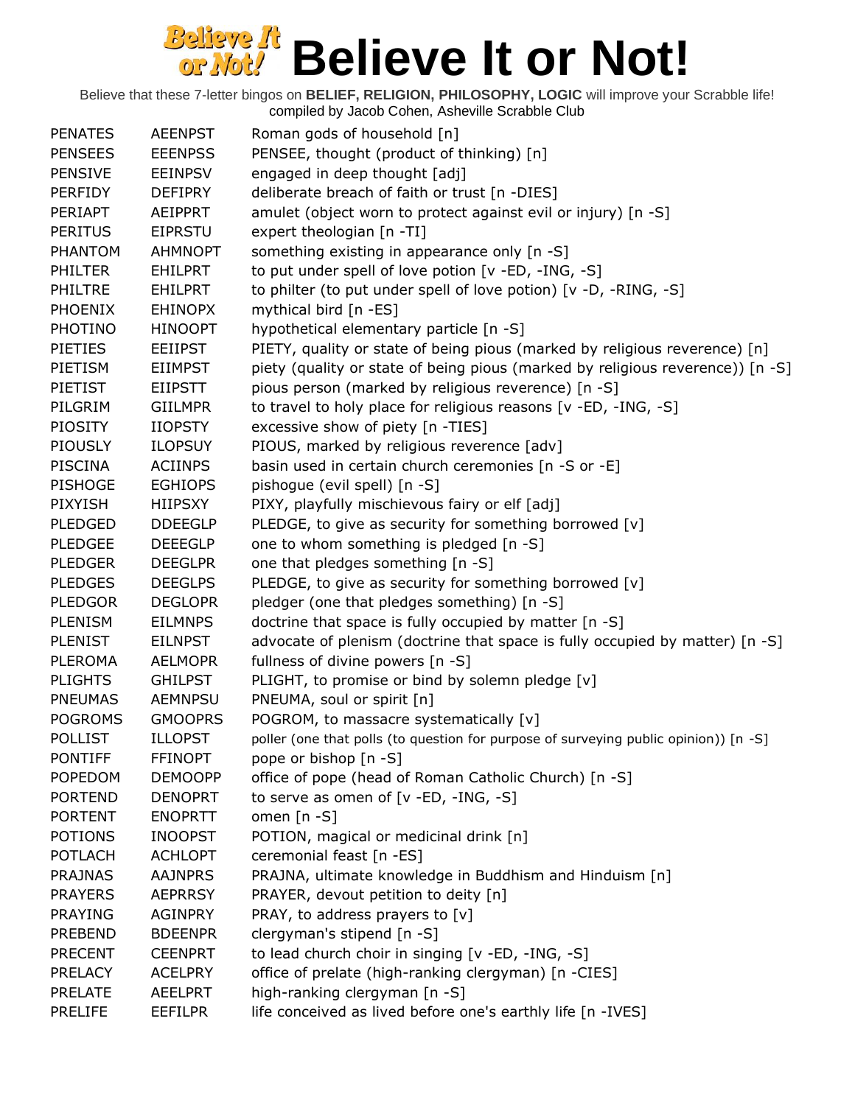| <b>PENATES</b> | <b>AEENPST</b> | Roman gods of household [n]                                                          |
|----------------|----------------|--------------------------------------------------------------------------------------|
| <b>PENSEES</b> | <b>EEENPSS</b> | PENSEE, thought (product of thinking) [n]                                            |
| <b>PENSIVE</b> | <b>EEINPSV</b> | engaged in deep thought [adj]                                                        |
| <b>PERFIDY</b> | <b>DEFIPRY</b> | deliberate breach of faith or trust [n -DIES]                                        |
| PERIAPT        | AEIPPRT        | amulet (object worn to protect against evil or injury) [n -S]                        |
| <b>PERITUS</b> | <b>EIPRSTU</b> | expert theologian [n -TI]                                                            |
| <b>PHANTOM</b> | <b>AHMNOPT</b> |                                                                                      |
|                |                | something existing in appearance only [n -S]                                         |
| <b>PHILTER</b> | <b>EHILPRT</b> | to put under spell of love potion [v -ED, -ING, -S]                                  |
| <b>PHILTRE</b> | EHILPRT        | to philter (to put under spell of love potion) [v -D, -RING, -S]                     |
| <b>PHOENIX</b> | <b>EHINOPX</b> | mythical bird [n -ES]                                                                |
| <b>PHOTINO</b> | <b>HINOOPT</b> | hypothetical elementary particle [n -S]                                              |
| <b>PIETIES</b> | <b>EEIIPST</b> | PIETY, quality or state of being pious (marked by religious reverence) [n]           |
| PIETISM        | <b>EIIMPST</b> | piety (quality or state of being pious (marked by religious reverence)) [n -S]       |
| PIETIST        | <b>EIIPSTT</b> | pious person (marked by religious reverence) [n -S]                                  |
| PILGRIM        | <b>GIILMPR</b> | to travel to holy place for religious reasons [v -ED, -ING, -S]                      |
| <b>PIOSITY</b> | <b>IIOPSTY</b> | excessive show of piety [n -TIES]                                                    |
| <b>PIOUSLY</b> | <b>ILOPSUY</b> | PIOUS, marked by religious reverence [adv]                                           |
| <b>PISCINA</b> | <b>ACIINPS</b> | basin used in certain church ceremonies [n -S or -E]                                 |
| <b>PISHOGE</b> | <b>EGHIOPS</b> | pishogue (evil spell) [n -S]                                                         |
| <b>PIXYISH</b> | HIIPSXY        | PIXY, playfully mischievous fairy or elf [adj]                                       |
| <b>PLEDGED</b> | <b>DDEEGLP</b> | PLEDGE, to give as security for something borrowed [v]                               |
| <b>PLEDGEE</b> | <b>DEEEGLP</b> | one to whom something is pledged [n -S]                                              |
| <b>PLEDGER</b> | <b>DEEGLPR</b> | one that pledges something [n -S]                                                    |
| <b>PLEDGES</b> | <b>DEEGLPS</b> | PLEDGE, to give as security for something borrowed [v]                               |
| <b>PLEDGOR</b> | <b>DEGLOPR</b> | pledger (one that pledges something) [n -S]                                          |
| <b>PLENISM</b> | <b>EILMNPS</b> | doctrine that space is fully occupied by matter [n -S]                               |
| <b>PLENIST</b> | <b>EILNPST</b> | advocate of plenism (doctrine that space is fully occupied by matter) [n -S]         |
| <b>PLEROMA</b> | <b>AELMOPR</b> | fullness of divine powers [n -S]                                                     |
| <b>PLIGHTS</b> | <b>GHILPST</b> | PLIGHT, to promise or bind by solemn pledge [v]                                      |
| <b>PNEUMAS</b> | <b>AEMNPSU</b> | PNEUMA, soul or spirit [n]                                                           |
| <b>POGROMS</b> | <b>GMOOPRS</b> | POGROM, to massacre systematically [v]                                               |
| <b>POLLIST</b> | <b>ILLOPST</b> | poller (one that polls (to question for purpose of surveying public opinion)) [n -S] |
| <b>PONTIFF</b> | <b>FFINOPT</b> | pope or bishop [n -S]                                                                |
| <b>POPEDOM</b> | <b>DEMOOPP</b> | office of pope (head of Roman Catholic Church) [n -S]                                |
| <b>PORTEND</b> | <b>DENOPRT</b> | to serve as omen of $[v - ED, -ING, -S]$                                             |
| <b>PORTENT</b> | <b>ENOPRTT</b> | omen $[n - S]$                                                                       |
| <b>POTIONS</b> | <b>INOOPST</b> | POTION, magical or medicinal drink [n]                                               |
| <b>POTLACH</b> | <b>ACHLOPT</b> | ceremonial feast [n -ES]                                                             |
| <b>PRAJNAS</b> | <b>AAJNPRS</b> | PRAJNA, ultimate knowledge in Buddhism and Hinduism [n]                              |
| <b>PRAYERS</b> | <b>AEPRRSY</b> | PRAYER, devout petition to deity [n]                                                 |
| <b>PRAYING</b> | <b>AGINPRY</b> | PRAY, to address prayers to [v]                                                      |
| <b>PREBEND</b> | <b>BDEENPR</b> | clergyman's stipend [n -S]                                                           |
| <b>PRECENT</b> | <b>CEENPRT</b> | to lead church choir in singing [v -ED, -ING, -S]                                    |
| <b>PRELACY</b> | <b>ACELPRY</b> | office of prelate (high-ranking clergyman) [n -CIES]                                 |
| <b>PRELATE</b> | <b>AEELPRT</b> | high-ranking clergyman [n -S]                                                        |
| <b>PRELIFE</b> | <b>EEFILPR</b> | life conceived as lived before one's earthly life [n -IVES]                          |
|                |                |                                                                                      |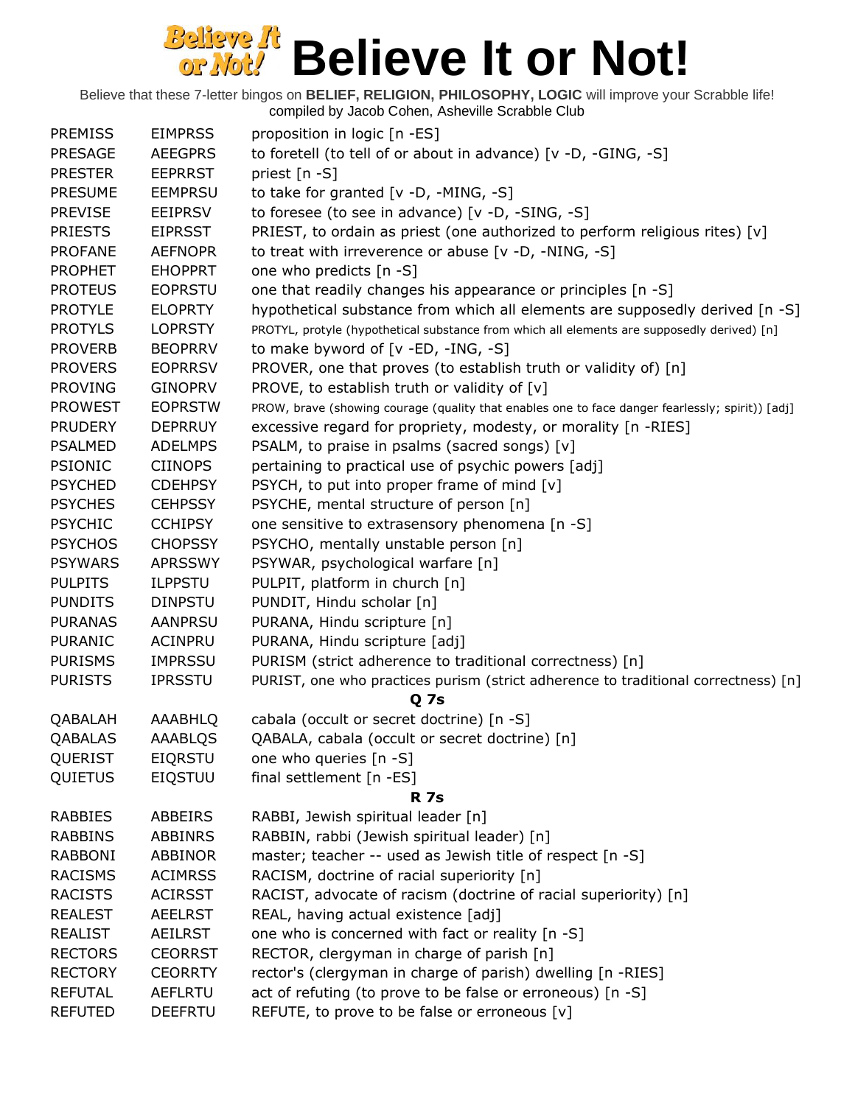| <b>PREMISS</b> | <b>EIMPRSS</b> | proposition in logic [n -ES]                                                                     |
|----------------|----------------|--------------------------------------------------------------------------------------------------|
| <b>PRESAGE</b> | <b>AEEGPRS</b> | to foretell (to tell of or about in advance) [v -D, -GING, -S]                                   |
| <b>PRESTER</b> | <b>EEPRRST</b> | priest [n -S]                                                                                    |
| <b>PRESUME</b> | <b>EEMPRSU</b> | to take for granted [v -D, -MING, -S]                                                            |
| <b>PREVISE</b> | <b>EEIPRSV</b> | to foresee (to see in advance) [v -D, -SING, -S]                                                 |
| <b>PRIESTS</b> | <b>EIPRSST</b> | PRIEST, to ordain as priest (one authorized to perform religious rites) $[v]$                    |
| <b>PROFANE</b> | <b>AEFNOPR</b> | to treat with irreverence or abuse [v -D, -NING, -S]                                             |
| <b>PROPHET</b> | <b>EHOPPRT</b> | one who predicts [n -S]                                                                          |
| <b>PROTEUS</b> | <b>EOPRSTU</b> | one that readily changes his appearance or principles [n -S]                                     |
| <b>PROTYLE</b> | <b>ELOPRTY</b> | hypothetical substance from which all elements are supposedly derived [n -S]                     |
| <b>PROTYLS</b> | <b>LOPRSTY</b> | PROTYL, protyle (hypothetical substance from which all elements are supposedly derived) [n]      |
| <b>PROVERB</b> | <b>BEOPRRV</b> | to make byword of $[v - ED, -ING, -S]$                                                           |
| <b>PROVERS</b> | <b>EOPRRSV</b> | PROVER, one that proves (to establish truth or validity of) [n]                                  |
| <b>PROVING</b> | <b>GINOPRV</b> | PROVE, to establish truth or validity of [v]                                                     |
| <b>PROWEST</b> | <b>EOPRSTW</b> | PROW, brave (showing courage (quality that enables one to face danger fearlessly; spirit)) [adj] |
| <b>PRUDERY</b> | <b>DEPRRUY</b> | excessive regard for propriety, modesty, or morality [n -RIES]                                   |
| <b>PSALMED</b> | <b>ADELMPS</b> | PSALM, to praise in psalms (sacred songs) [v]                                                    |
| <b>PSIONIC</b> | <b>CIINOPS</b> | pertaining to practical use of psychic powers [adj]                                              |
| <b>PSYCHED</b> | <b>CDEHPSY</b> | PSYCH, to put into proper frame of mind [v]                                                      |
| <b>PSYCHES</b> | <b>CEHPSSY</b> | PSYCHE, mental structure of person [n]                                                           |
| <b>PSYCHIC</b> | <b>CCHIPSY</b> | one sensitive to extrasensory phenomena [n -S]                                                   |
| <b>PSYCHOS</b> |                |                                                                                                  |
|                | <b>CHOPSSY</b> | PSYCHO, mentally unstable person [n]                                                             |
| <b>PSYWARS</b> | <b>APRSSWY</b> | PSYWAR, psychological warfare [n]                                                                |
| <b>PULPITS</b> | <b>ILPPSTU</b> | PULPIT, platform in church [n]                                                                   |
| <b>PUNDITS</b> | <b>DINPSTU</b> | PUNDIT, Hindu scholar [n]                                                                        |
| <b>PURANAS</b> | <b>AANPRSU</b> | PURANA, Hindu scripture [n]                                                                      |
| <b>PURANIC</b> | <b>ACINPRU</b> | PURANA, Hindu scripture [adj]                                                                    |
| <b>PURISMS</b> | <b>IMPRSSU</b> | PURISM (strict adherence to traditional correctness) [n]                                         |
| <b>PURISTS</b> | <b>IPRSSTU</b> | PURIST, one who practices purism (strict adherence to traditional correctness) [n]               |
|                |                | Q <sub>7s</sub>                                                                                  |
| QABALAH        | AAABHLQ        | cabala (occult or secret doctrine) [n -S]                                                        |
| QABALAS        | AAABLQS        | QABALA, cabala (occult or secret doctrine) [n]                                                   |
| QUERIST        | <b>EIQRSTU</b> | one who queries [n -S]                                                                           |
| QUIETUS        | <b>EIQSTUU</b> | final settlement [n -ES]                                                                         |
|                |                | <b>R</b> 7s                                                                                      |
| <b>RABBIES</b> | ABBEIRS        | RABBI, Jewish spiritual leader [n]                                                               |
| <b>RABBINS</b> | <b>ABBINRS</b> | RABBIN, rabbi (Jewish spiritual leader) [n]                                                      |
| <b>RABBONI</b> | <b>ABBINOR</b> | master; teacher -- used as Jewish title of respect [n -S]                                        |
| <b>RACISMS</b> | <b>ACIMRSS</b> | RACISM, doctrine of racial superiority [n]                                                       |
| <b>RACISTS</b> | <b>ACIRSST</b> | RACIST, advocate of racism (doctrine of racial superiority) [n]                                  |
| <b>REALEST</b> | <b>AEELRST</b> | REAL, having actual existence [adj]                                                              |
| <b>REALIST</b> | AEILRST        | one who is concerned with fact or reality [n -S]                                                 |
| <b>RECTORS</b> | <b>CEORRST</b> | RECTOR, clergyman in charge of parish [n]                                                        |
| <b>RECTORY</b> | <b>CEORRTY</b> | rector's (clergyman in charge of parish) dwelling [n -RIES]                                      |
| <b>REFUTAL</b> | <b>AEFLRTU</b> | act of refuting (to prove to be false or erroneous) [n -S]                                       |
| <b>REFUTED</b> | <b>DEEFRTU</b> | REFUTE, to prove to be false or erroneous [v]                                                    |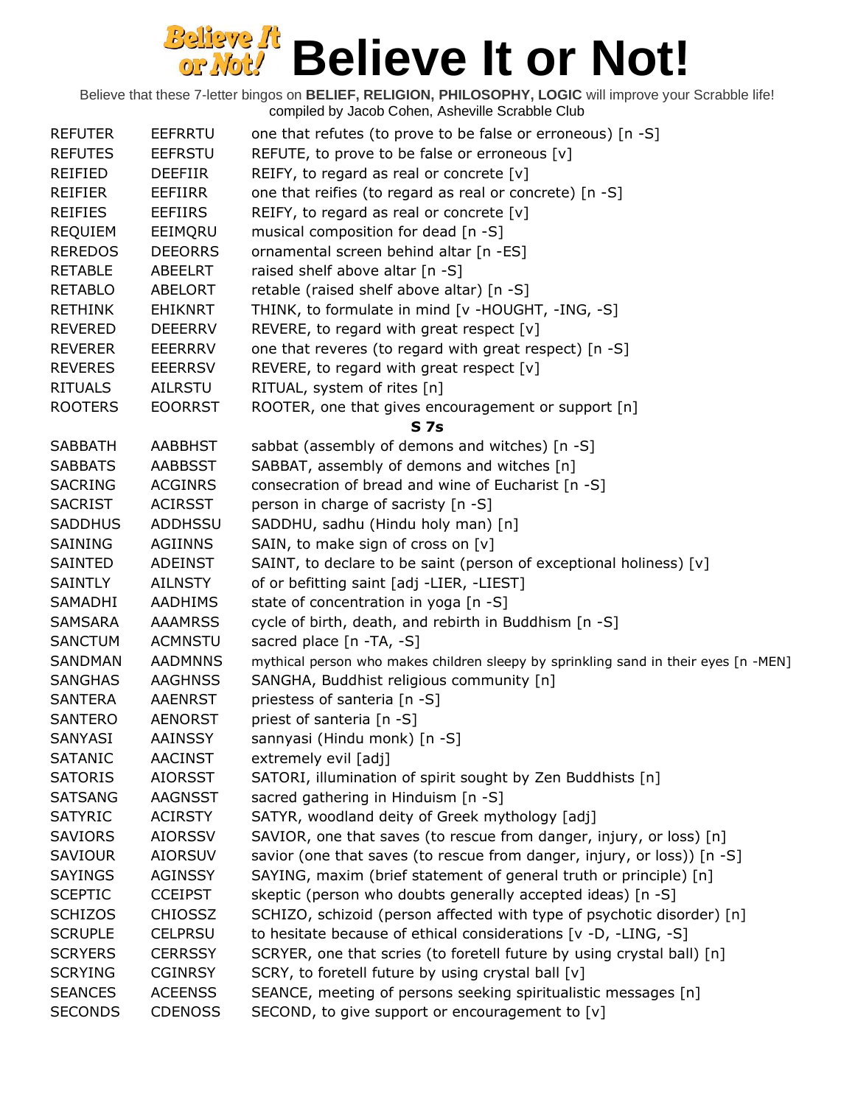| <b>REFUTER</b> | <b>EEFRRTU</b> | one that refutes (to prove to be false or erroneous) [n -S]                         |
|----------------|----------------|-------------------------------------------------------------------------------------|
| <b>REFUTES</b> | <b>EEFRSTU</b> | REFUTE, to prove to be false or erroneous [v]                                       |
| REIFIED        | <b>DEEFIIR</b> | REIFY, to regard as real or concrete $[v]$                                          |
| <b>REIFIER</b> | EEFIIRR        | one that reifies (to regard as real or concrete) [n -S]                             |
| <b>REIFIES</b> | <b>EEFIIRS</b> | REIFY, to regard as real or concrete [v]                                            |
| <b>REQUIEM</b> | EEIMQRU        | musical composition for dead [n -S]                                                 |
| <b>REREDOS</b> | <b>DEEORRS</b> | ornamental screen behind altar [n -ES]                                              |
| <b>RETABLE</b> | ABEELRT        | raised shelf above altar [n -S]                                                     |
| <b>RETABLO</b> | <b>ABELORT</b> | retable (raised shelf above altar) [n -S]                                           |
| <b>RETHINK</b> | <b>EHIKNRT</b> | THINK, to formulate in mind [v -HOUGHT, -ING, -S]                                   |
| <b>REVERED</b> | <b>DEEERRV</b> | REVERE, to regard with great respect [v]                                            |
| <b>REVERER</b> | EEERRRV        | one that reveres (to regard with great respect) [n -S]                              |
| <b>REVERES</b> | <b>EEERRSV</b> | REVERE, to regard with great respect $[v]$                                          |
| <b>RITUALS</b> | AILRSTU        | RITUAL, system of rites [n]                                                         |
| <b>ROOTERS</b> | <b>EOORRST</b> | ROOTER, one that gives encouragement or support [n]                                 |
|                |                | <b>S7s</b>                                                                          |
| <b>SABBATH</b> | <b>AABBHST</b> | sabbat (assembly of demons and witches) [n -S]                                      |
| <b>SABBATS</b> | <b>AABBSST</b> | SABBAT, assembly of demons and witches [n]                                          |
| <b>SACRING</b> | <b>ACGINRS</b> | consecration of bread and wine of Eucharist [n -S]                                  |
| <b>SACRIST</b> | <b>ACIRSST</b> | person in charge of sacristy [n -S]                                                 |
| <b>SADDHUS</b> | ADDHSSU        | SADDHU, sadhu (Hindu holy man) [n]                                                  |
| SAINING        | <b>AGIINNS</b> | SAIN, to make sign of cross on [v]                                                  |
| SAINTED        | <b>ADEINST</b> | SAINT, to declare to be saint (person of exceptional holiness) [v]                  |
| <b>SAINTLY</b> | <b>AILNSTY</b> | of or befitting saint [adj -LIER, -LIEST]                                           |
| SAMADHI        | AADHIMS        | state of concentration in yoga [n -S]                                               |
| SAMSARA        | <b>AAAMRSS</b> | cycle of birth, death, and rebirth in Buddhism [n -S]                               |
| <b>SANCTUM</b> | <b>ACMNSTU</b> | sacred place [n -TA, -S]                                                            |
| SANDMAN        | <b>AADMNNS</b> | mythical person who makes children sleepy by sprinkling sand in their eyes [n -MEN] |
| <b>SANGHAS</b> | <b>AAGHNSS</b> | SANGHA, Buddhist religious community [n]                                            |
| <b>SANTERA</b> | <b>AAENRST</b> | priestess of santeria [n -S]                                                        |
| SANTERO        | <b>AENORST</b> | priest of santeria [n -S]                                                           |
| SANYASI        | <b>AAINSSY</b> | sannyasi (Hindu monk) [n -S]                                                        |
| <b>SATANIC</b> | <b>AACINST</b> | extremely evil [adj]                                                                |
| <b>SATORIS</b> | <b>AIORSST</b> | SATORI, illumination of spirit sought by Zen Buddhists [n]                          |
| <b>SATSANG</b> | <b>AAGNSST</b> | sacred gathering in Hinduism [n -S]                                                 |
| <b>SATYRIC</b> | <b>ACIRSTY</b> | SATYR, woodland deity of Greek mythology [adj]                                      |
| <b>SAVIORS</b> | <b>AIORSSV</b> | SAVIOR, one that saves (to rescue from danger, injury, or loss) [n]                 |
| <b>SAVIOUR</b> | <b>AIORSUV</b> | savior (one that saves (to rescue from danger, injury, or loss)) [n -S]             |
| <b>SAYINGS</b> | <b>AGINSSY</b> | SAYING, maxim (brief statement of general truth or principle) [n]                   |
| <b>SCEPTIC</b> | <b>CCEIPST</b> | skeptic (person who doubts generally accepted ideas) [n -S]                         |
| <b>SCHIZOS</b> | <b>CHIOSSZ</b> | SCHIZO, schizoid (person affected with type of psychotic disorder) [n]              |
| <b>SCRUPLE</b> | <b>CELPRSU</b> | to hesitate because of ethical considerations [v -D, -LING, -S]                     |
| <b>SCRYERS</b> | <b>CERRSSY</b> | SCRYER, one that scries (to foretell future by using crystal ball) [n]              |
| <b>SCRYING</b> | <b>CGINRSY</b> | SCRY, to foretell future by using crystal ball [v]                                  |
| <b>SEANCES</b> | <b>ACEENSS</b> | SEANCE, meeting of persons seeking spiritualistic messages [n]                      |
| <b>SECONDS</b> | <b>CDENOSS</b> | SECOND, to give support or encouragement to [v]                                     |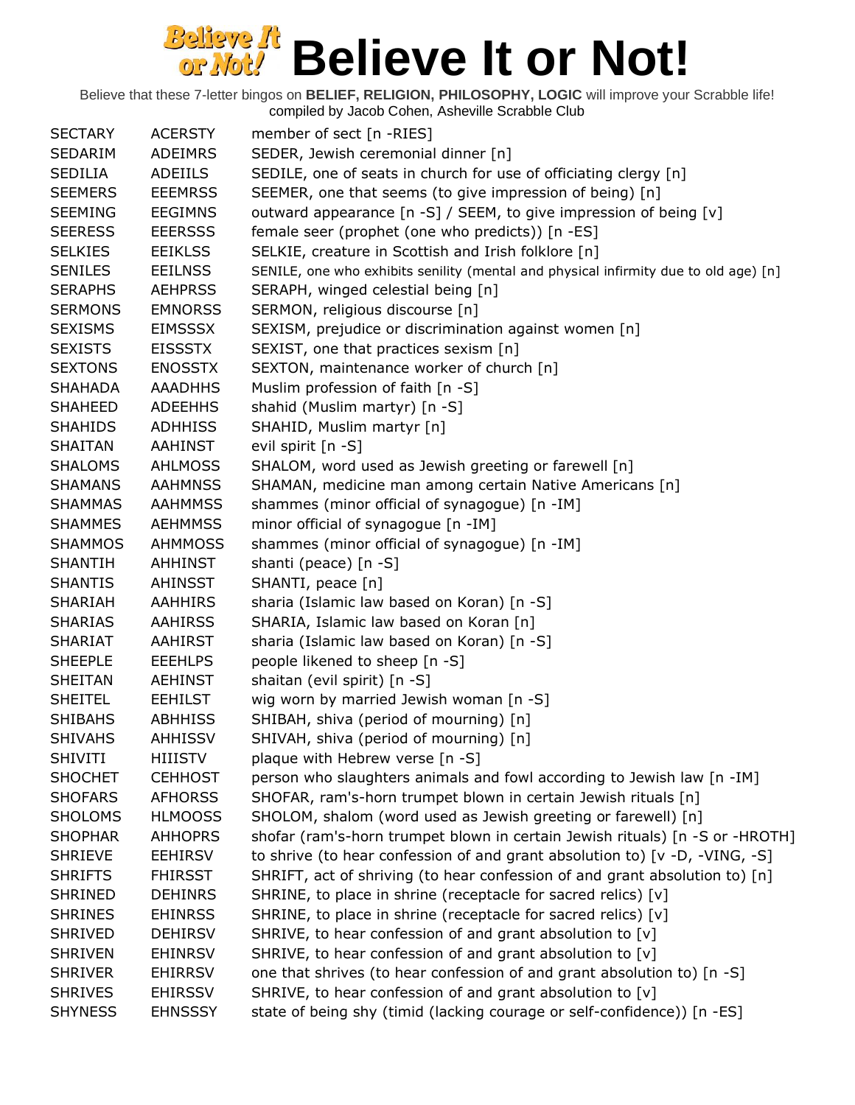| <b>SECTARY</b> | <b>ACERSTY</b> | member of sect [n -RIES]                                                             |
|----------------|----------------|--------------------------------------------------------------------------------------|
| SEDARIM        | <b>ADEIMRS</b> | SEDER, Jewish ceremonial dinner [n]                                                  |
| <b>SEDILIA</b> | <b>ADEIILS</b> | SEDILE, one of seats in church for use of officiating clergy [n]                     |
| <b>SEEMERS</b> | <b>EEEMRSS</b> | SEEMER, one that seems (to give impression of being) [n]                             |
| <b>SEEMING</b> | <b>EEGIMNS</b> | outward appearance [n -S] / SEEM, to give impression of being [v]                    |
| <b>SEERESS</b> | <b>EEERSSS</b> | female seer (prophet (one who predicts)) [n -ES]                                     |
| <b>SELKIES</b> | <b>EEIKLSS</b> | SELKIE, creature in Scottish and Irish folklore [n]                                  |
| <b>SENILES</b> | <b>EEILNSS</b> | SENILE, one who exhibits senility (mental and physical infirmity due to old age) [n] |
| <b>SERAPHS</b> | <b>AEHPRSS</b> | SERAPH, winged celestial being [n]                                                   |
| <b>SERMONS</b> | <b>EMNORSS</b> | SERMON, religious discourse [n]                                                      |
| <b>SEXISMS</b> | <b>EIMSSSX</b> | SEXISM, prejudice or discrimination against women [n]                                |
| <b>SEXISTS</b> | <b>EISSSTX</b> | SEXIST, one that practices sexism [n]                                                |
| <b>SEXTONS</b> | <b>ENOSSTX</b> | SEXTON, maintenance worker of church [n]                                             |
| <b>SHAHADA</b> | <b>AAADHHS</b> | Muslim profession of faith [n -S]                                                    |
| <b>SHAHEED</b> | <b>ADEEHHS</b> | shahid (Muslim martyr) [n -S]                                                        |
| <b>SHAHIDS</b> | <b>ADHHISS</b> | SHAHID, Muslim martyr [n]                                                            |
| <b>SHAITAN</b> | <b>AAHINST</b> | evil spirit [n -S]                                                                   |
| <b>SHALOMS</b> | <b>AHLMOSS</b> | SHALOM, word used as Jewish greeting or farewell [n]                                 |
| <b>SHAMANS</b> | <b>AAHMNSS</b> | SHAMAN, medicine man among certain Native Americans [n]                              |
| <b>SHAMMAS</b> | AAHMMSS        | shammes (minor official of synagogue) [n -IM]                                        |
| <b>SHAMMES</b> | <b>AEHMMSS</b> | minor official of synagogue [n -IM]                                                  |
| <b>SHAMMOS</b> | <b>AHMMOSS</b> | shammes (minor official of synagogue) [n -IM]                                        |
| SHANTIH        | AHHINST        | shanti (peace) [n -S]                                                                |
| <b>SHANTIS</b> | <b>AHINSST</b> | SHANTI, peace [n]                                                                    |
| SHARIAH        | <b>AAHHIRS</b> | sharia (Islamic law based on Koran) [n -S]                                           |
| <b>SHARIAS</b> | <b>AAHIRSS</b> | SHARIA, Islamic law based on Koran [n]                                               |
| <b>SHARIAT</b> | <b>AAHIRST</b> | sharia (Islamic law based on Koran) [n -S]                                           |
| <b>SHEEPLE</b> | <b>EEEHLPS</b> | people likened to sheep [n -S]                                                       |
| SHEITAN        | AEHINST        | shaitan (evil spirit) [n -S]                                                         |
| <b>SHEITEL</b> | <b>EEHILST</b> | wig worn by married Jewish woman [n -S]                                              |
| <b>SHIBAHS</b> | <b>ABHHISS</b> | SHIBAH, shiva (period of mourning) [n]                                               |
| <b>SHIVAHS</b> | <b>AHHISSV</b> | SHIVAH, shiva (period of mourning) [n]                                               |
| <b>SHIVITI</b> | <b>HIIISTV</b> | plaque with Hebrew verse [n -S]                                                      |
| <b>SHOCHET</b> | <b>CEHHOST</b> | person who slaughters animals and fowl according to Jewish law [n -IM]               |
| <b>SHOFARS</b> | <b>AFHORSS</b> | SHOFAR, ram's-horn trumpet blown in certain Jewish rituals [n]                       |
| <b>SHOLOMS</b> | <b>HLMOOSS</b> | SHOLOM, shalom (word used as Jewish greeting or farewell) [n]                        |
| <b>SHOPHAR</b> | <b>AHHOPRS</b> | shofar (ram's-horn trumpet blown in certain Jewish rituals) [n -S or -HROTH]         |
| <b>SHRIEVE</b> | <b>EEHIRSV</b> | to shrive (to hear confession of and grant absolution to) [v -D, -VING, -S]          |
| <b>SHRIFTS</b> | <b>FHIRSST</b> | SHRIFT, act of shriving (to hear confession of and grant absolution to) [n]          |
| <b>SHRINED</b> | <b>DEHINRS</b> | SHRINE, to place in shrine (receptacle for sacred relics) [v]                        |
| <b>SHRINES</b> | <b>EHINRSS</b> | SHRINE, to place in shrine (receptacle for sacred relics) [v]                        |
| <b>SHRIVED</b> | <b>DEHIRSV</b> | SHRIVE, to hear confession of and grant absolution to [v]                            |
| <b>SHRIVEN</b> | <b>EHINRSV</b> | SHRIVE, to hear confession of and grant absolution to [v]                            |
| <b>SHRIVER</b> | <b>EHIRRSV</b> | one that shrives (to hear confession of and grant absolution to) [n -S]              |
| <b>SHRIVES</b> | <b>EHIRSSV</b> | SHRIVE, to hear confession of and grant absolution to [v]                            |
| <b>SHYNESS</b> | <b>EHNSSSY</b> | state of being shy (timid (lacking courage or self-confidence)) [n -ES]              |
|                |                |                                                                                      |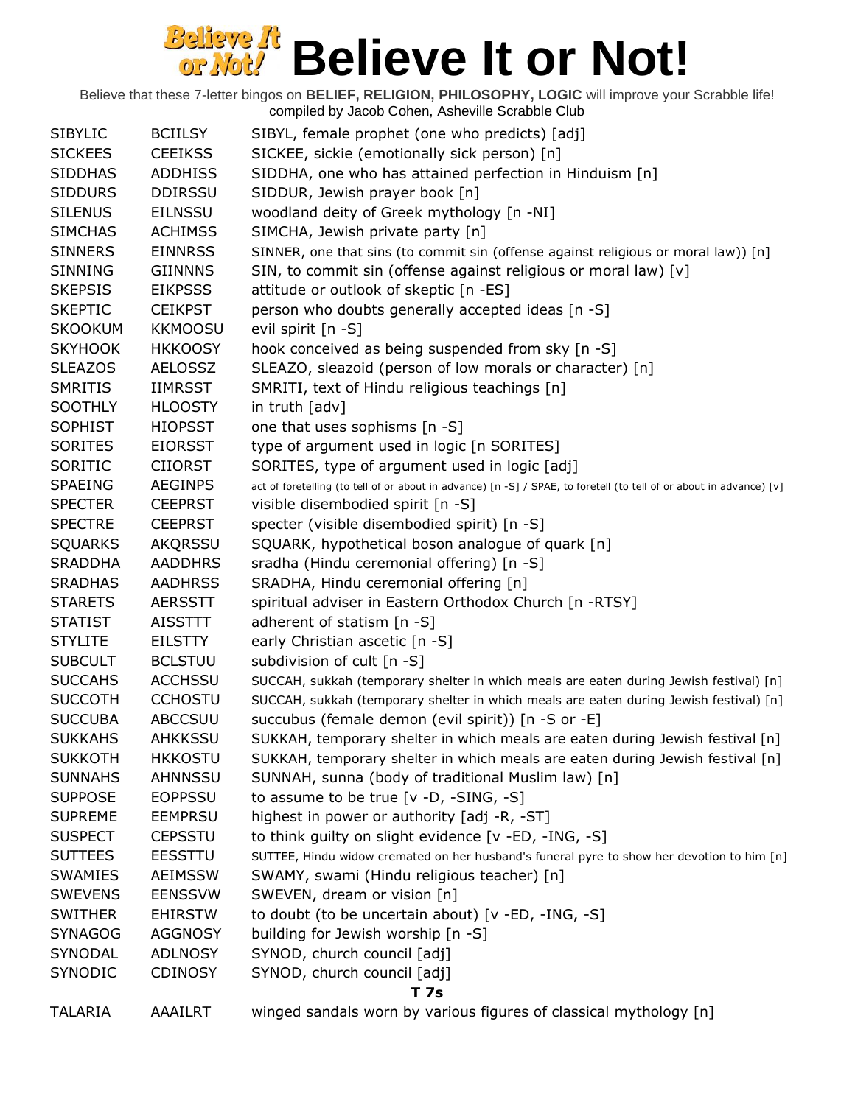| <b>SIBYLIC</b> | <b>BCIILSY</b> | SIBYL, female prophet (one who predicts) [adj]                                                                      |
|----------------|----------------|---------------------------------------------------------------------------------------------------------------------|
| <b>SICKEES</b> | <b>CEEIKSS</b> | SICKEE, sickie (emotionally sick person) [n]                                                                        |
| <b>SIDDHAS</b> | <b>ADDHISS</b> | SIDDHA, one who has attained perfection in Hinduism [n]                                                             |
| <b>SIDDURS</b> | <b>DDIRSSU</b> | SIDDUR, Jewish prayer book [n]                                                                                      |
| <b>SILENUS</b> | <b>EILNSSU</b> | woodland deity of Greek mythology [n -NI]                                                                           |
| <b>SIMCHAS</b> | <b>ACHIMSS</b> | SIMCHA, Jewish private party [n]                                                                                    |
| <b>SINNERS</b> | <b>EINNRSS</b> | SINNER, one that sins (to commit sin (offense against religious or moral law)) [n]                                  |
| <b>SINNING</b> | <b>GIINNNS</b> | SIN, to commit sin (offense against religious or moral law) [v]                                                     |
| <b>SKEPSIS</b> | <b>EIKPSSS</b> | attitude or outlook of skeptic [n -ES]                                                                              |
| <b>SKEPTIC</b> | <b>CEIKPST</b> | person who doubts generally accepted ideas [n -S]                                                                   |
| <b>SKOOKUM</b> | <b>KKMOOSU</b> | evil spirit [n -S]                                                                                                  |
| <b>SKYHOOK</b> | <b>HKKOOSY</b> | hook conceived as being suspended from sky [n -S]                                                                   |
| <b>SLEAZOS</b> | <b>AELOSSZ</b> | SLEAZO, sleazoid (person of low morals or character) [n]                                                            |
| <b>SMRITIS</b> | <b>IIMRSST</b> | SMRITI, text of Hindu religious teachings [n]                                                                       |
| <b>SOOTHLY</b> | <b>HLOOSTY</b> | in truth [adv]                                                                                                      |
| <b>SOPHIST</b> | <b>HIOPSST</b> | one that uses sophisms [n -S]                                                                                       |
| <b>SORITES</b> | <b>EIORSST</b> | type of argument used in logic [n SORITES]                                                                          |
| SORITIC        | <b>CIIORST</b> | SORITES, type of argument used in logic [adj]                                                                       |
| <b>SPAEING</b> | <b>AEGINPS</b> | act of foretelling (to tell of or about in advance) [n -S] / SPAE, to foretell (to tell of or about in advance) [v] |
| <b>SPECTER</b> | <b>CEEPRST</b> | visible disembodied spirit [n -S]                                                                                   |
| <b>SPECTRE</b> | <b>CEEPRST</b> | specter (visible disembodied spirit) [n -S]                                                                         |
| <b>SQUARKS</b> | <b>AKQRSSU</b> | SQUARK, hypothetical boson analogue of quark [n]                                                                    |
| <b>SRADDHA</b> | <b>AADDHRS</b> | sradha (Hindu ceremonial offering) [n -S]                                                                           |
| <b>SRADHAS</b> | <b>AADHRSS</b> | SRADHA, Hindu ceremonial offering [n]                                                                               |
| <b>STARETS</b> | <b>AERSSTT</b> | spiritual adviser in Eastern Orthodox Church [n -RTSY]                                                              |
| <b>STATIST</b> | AISSTTT        | adherent of statism [n -S]                                                                                          |
| <b>STYLITE</b> | <b>EILSTTY</b> | early Christian ascetic [n -S]                                                                                      |
| <b>SUBCULT</b> | <b>BCLSTUU</b> | subdivision of cult [n -S]                                                                                          |
| <b>SUCCAHS</b> | <b>ACCHSSU</b> | SUCCAH, sukkah (temporary shelter in which meals are eaten during Jewish festival) [n]                              |
| <b>SUCCOTH</b> | <b>CCHOSTU</b> | SUCCAH, sukkah (temporary shelter in which meals are eaten during Jewish festival) [n]                              |
| <b>SUCCUBA</b> | <b>ABCCSUU</b> | succubus (female demon (evil spirit)) [n -S or -E]                                                                  |
| <b>SUKKAHS</b> | <b>AHKKSSU</b> | SUKKAH, temporary shelter in which meals are eaten during Jewish festival [n]                                       |
| <b>SUKKOTH</b> | <b>HKKOSTU</b> | SUKKAH, temporary shelter in which meals are eaten during Jewish festival [n]                                       |
| <b>SUNNAHS</b> | <b>AHNNSSU</b> | SUNNAH, sunna (body of traditional Muslim law) [n]                                                                  |
| <b>SUPPOSE</b> | <b>EOPPSSU</b> | to assume to be true $[v -D, -SING, -S]$                                                                            |
| <b>SUPREME</b> | <b>EEMPRSU</b> | highest in power or authority [adj -R, -ST]                                                                         |
| <b>SUSPECT</b> | <b>CEPSSTU</b> | to think guilty on slight evidence [v -ED, -ING, -S]                                                                |
| <b>SUTTEES</b> | <b>EESSTTU</b> | SUTTEE, Hindu widow cremated on her husband's funeral pyre to show her devotion to him [n]                          |
| <b>SWAMIES</b> | <b>AEIMSSW</b> | SWAMY, swami (Hindu religious teacher) [n]                                                                          |
| <b>SWEVENS</b> | <b>EENSSVW</b> | SWEVEN, dream or vision [n]                                                                                         |
| <b>SWITHER</b> | <b>EHIRSTW</b> | to doubt (to be uncertain about) [v -ED, -ING, -S]                                                                  |
| <b>SYNAGOG</b> | <b>AGGNOSY</b> | building for Jewish worship [n -S]                                                                                  |
| SYNODAL        | <b>ADLNOSY</b> | SYNOD, church council [adj]                                                                                         |
| SYNODIC        | <b>CDINOSY</b> | SYNOD, church council [adj]                                                                                         |
|                |                | <b>T</b> 7s                                                                                                         |
| <b>TALARIA</b> | AAAILRT        | winged sandals worn by various figures of classical mythology [n]                                                   |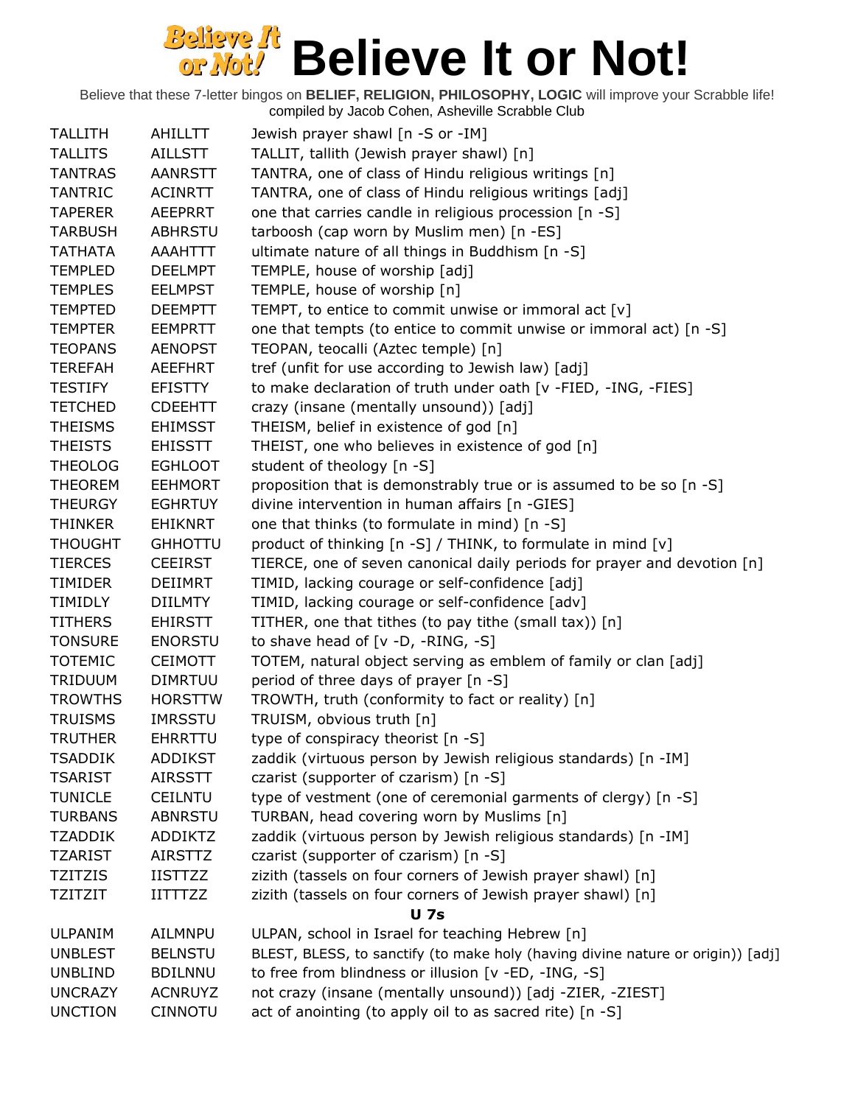| <b>TALLITH</b> | AHILLTT        | Jewish prayer shawl [n -S or -IM]                                               |
|----------------|----------------|---------------------------------------------------------------------------------|
| <b>TALLITS</b> | <b>AILLSTT</b> | TALLIT, tallith (Jewish prayer shawl) [n]                                       |
| <b>TANTRAS</b> | <b>AANRSTT</b> | TANTRA, one of class of Hindu religious writings [n]                            |
| <b>TANTRIC</b> | <b>ACINRTT</b> | TANTRA, one of class of Hindu religious writings [adj]                          |
| <b>TAPERER</b> | <b>AEEPRRT</b> | one that carries candle in religious procession [n -S]                          |
| <b>TARBUSH</b> | <b>ABHRSTU</b> | tarboosh (cap worn by Muslim men) [n -ES]                                       |
| <b>TATHATA</b> | AAAHTTT        | ultimate nature of all things in Buddhism [n -S]                                |
| <b>TEMPLED</b> | <b>DEELMPT</b> | TEMPLE, house of worship [adj]                                                  |
| <b>TEMPLES</b> | <b>EELMPST</b> | TEMPLE, house of worship [n]                                                    |
| <b>TEMPTED</b> | <b>DEEMPTT</b> | TEMPT, to entice to commit unwise or immoral act $[v]$                          |
| <b>TEMPTER</b> | <b>EEMPRTT</b> | one that tempts (to entice to commit unwise or immoral act) [n -S]              |
| <b>TEOPANS</b> | <b>AENOPST</b> | TEOPAN, teocalli (Aztec temple) [n]                                             |
| <b>TEREFAH</b> | <b>AEEFHRT</b> | tref (unfit for use according to Jewish law) [adj]                              |
| <b>TESTIFY</b> | <b>EFISTTY</b> | to make declaration of truth under oath [v -FIED, -ING, -FIES]                  |
| <b>TETCHED</b> | <b>CDEEHTT</b> | crazy (insane (mentally unsound)) [adj]                                         |
| <b>THEISMS</b> | <b>EHIMSST</b> | THEISM, belief in existence of god [n]                                          |
| <b>THEISTS</b> | <b>EHISSTT</b> | THEIST, one who believes in existence of god [n]                                |
| <b>THEOLOG</b> | <b>EGHLOOT</b> | student of theology [n -S]                                                      |
| <b>THEOREM</b> | <b>EEHMORT</b> | proposition that is demonstrably true or is assumed to be so [n -S]             |
| <b>THEURGY</b> | <b>EGHRTUY</b> | divine intervention in human affairs [n -GIES]                                  |
| <b>THINKER</b> | <b>EHIKNRT</b> | one that thinks (to formulate in mind) [n -S]                                   |
| <b>THOUGHT</b> | <b>GHHOTTU</b> | product of thinking [n -S] / THINK, to formulate in mind [v]                    |
| <b>TIERCES</b> | <b>CEEIRST</b> | TIERCE, one of seven canonical daily periods for prayer and devotion [n]        |
| <b>TIMIDER</b> | <b>DEIIMRT</b> | TIMID, lacking courage or self-confidence [adj]                                 |
| TIMIDLY        | <b>DIILMTY</b> | TIMID, lacking courage or self-confidence [adv]                                 |
| <b>TITHERS</b> | <b>EHIRSTT</b> | TITHER, one that tithes (to pay tithe (small tax)) [n]                          |
| <b>TONSURE</b> | <b>ENORSTU</b> | to shave head of $[v -D, -RING, -S]$                                            |
| <b>TOTEMIC</b> | <b>CEIMOTT</b> | TOTEM, natural object serving as emblem of family or clan [adj]                 |
| <b>TRIDUUM</b> | <b>DIMRTUU</b> | period of three days of prayer [n -S]                                           |
| <b>TROWTHS</b> | <b>HORSTTW</b> | TROWTH, truth (conformity to fact or reality) [n]                               |
| <b>TRUISMS</b> | <b>IMRSSTU</b> | TRUISM, obvious truth [n]                                                       |
| <b>TRUTHER</b> | <b>EHRRTTU</b> | type of conspiracy theorist [n -S]                                              |
| <b>TSADDIK</b> | <b>ADDIKST</b> | zaddik (virtuous person by Jewish religious standards) [n -IM]                  |
| <b>TSARIST</b> | <b>AIRSSTT</b> | czarist (supporter of czarism) [n -S]                                           |
| <b>TUNICLE</b> | <b>CEILNTU</b> | type of vestment (one of ceremonial garments of clergy) [n -S]                  |
| <b>TURBANS</b> | <b>ABNRSTU</b> | TURBAN, head covering worn by Muslims [n]                                       |
| <b>TZADDIK</b> | <b>ADDIKTZ</b> | zaddik (virtuous person by Jewish religious standards) [n -IM]                  |
| <b>TZARIST</b> | <b>AIRSTTZ</b> | czarist (supporter of czarism) [n -S]                                           |
| <b>TZITZIS</b> | <b>IISTTZZ</b> | zizith (tassels on four corners of Jewish prayer shawl) [n]                     |
| <b>TZITZIT</b> | <b>IITTTZZ</b> | zizith (tassels on four corners of Jewish prayer shawl) [n]                     |
|                |                | <b>U</b> 7s                                                                     |
| <b>ULPANIM</b> | AILMNPU        | ULPAN, school in Israel for teaching Hebrew [n]                                 |
| <b>UNBLEST</b> | <b>BELNSTU</b> | BLEST, BLESS, to sanctify (to make holy (having divine nature or origin)) [adj] |
| <b>UNBLIND</b> | <b>BDILNNU</b> | to free from blindness or illusion [v -ED, -ING, -S]                            |
| <b>UNCRAZY</b> | <b>ACNRUYZ</b> | not crazy (insane (mentally unsound)) [adj -ZIER, -ZIEST]                       |
| <b>UNCTION</b> | <b>CINNOTU</b> | act of anointing (to apply oil to as sacred rite) [n -S]                        |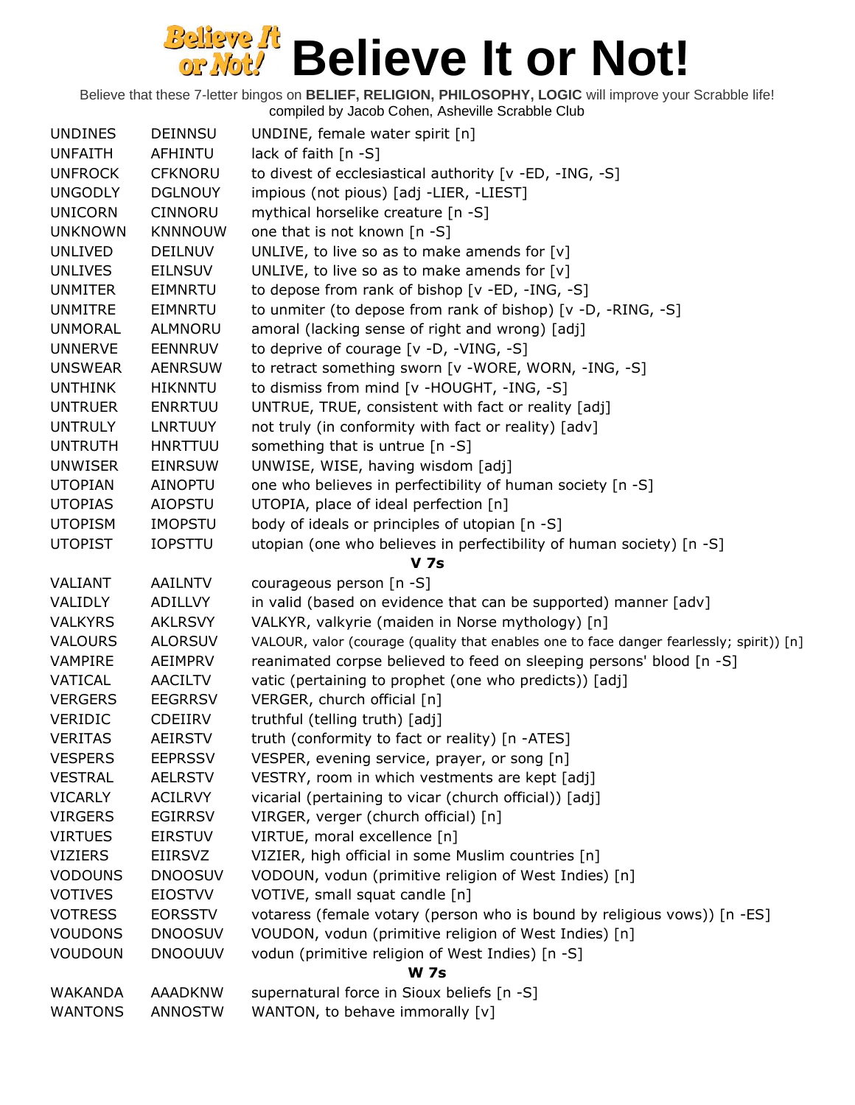| lack of faith [n -S]<br><b>UNFAITH</b><br>AFHINTU<br><b>UNFROCK</b><br>to divest of ecclesiastical authority [v -ED, -ING, -S]<br><b>CFKNORU</b><br><b>UNGODLY</b><br>impious (not pious) [adj -LIER, -LIEST]<br><b>DGLNOUY</b><br>mythical horselike creature [n -S]<br><b>UNICORN</b><br>CINNORU<br><b>UNKNOWN</b><br><b>KNNNOUW</b><br>one that is not known [n -S]<br>UNLIVE, to live so as to make amends for $[v]$<br><b>UNLIVED</b><br><b>DEILNUV</b><br>UNLIVE, to live so as to make amends for [v]<br><b>UNLIVES</b><br><b>EILNSUV</b><br>to depose from rank of bishop [v -ED, -ING, -S]<br><b>UNMITER</b><br><b>EIMNRTU</b><br>to unmiter (to depose from rank of bishop) [v -D, -RING, -S]<br><b>UNMITRE</b><br>EIMNRTU<br>amoral (lacking sense of right and wrong) [adj]<br><b>UNMORAL</b><br>ALMNORU<br>to deprive of courage [v -D, -VING, -S]<br><b>UNNERVE</b><br><b>EENNRUV</b><br>to retract something sworn [v -WORE, WORN, -ING, -S]<br><b>UNSWEAR</b><br><b>AENRSUW</b> |
|-------------------------------------------------------------------------------------------------------------------------------------------------------------------------------------------------------------------------------------------------------------------------------------------------------------------------------------------------------------------------------------------------------------------------------------------------------------------------------------------------------------------------------------------------------------------------------------------------------------------------------------------------------------------------------------------------------------------------------------------------------------------------------------------------------------------------------------------------------------------------------------------------------------------------------------------------------------------------------------------------|
|                                                                                                                                                                                                                                                                                                                                                                                                                                                                                                                                                                                                                                                                                                                                                                                                                                                                                                                                                                                                 |
|                                                                                                                                                                                                                                                                                                                                                                                                                                                                                                                                                                                                                                                                                                                                                                                                                                                                                                                                                                                                 |
|                                                                                                                                                                                                                                                                                                                                                                                                                                                                                                                                                                                                                                                                                                                                                                                                                                                                                                                                                                                                 |
|                                                                                                                                                                                                                                                                                                                                                                                                                                                                                                                                                                                                                                                                                                                                                                                                                                                                                                                                                                                                 |
|                                                                                                                                                                                                                                                                                                                                                                                                                                                                                                                                                                                                                                                                                                                                                                                                                                                                                                                                                                                                 |
|                                                                                                                                                                                                                                                                                                                                                                                                                                                                                                                                                                                                                                                                                                                                                                                                                                                                                                                                                                                                 |
|                                                                                                                                                                                                                                                                                                                                                                                                                                                                                                                                                                                                                                                                                                                                                                                                                                                                                                                                                                                                 |
|                                                                                                                                                                                                                                                                                                                                                                                                                                                                                                                                                                                                                                                                                                                                                                                                                                                                                                                                                                                                 |
|                                                                                                                                                                                                                                                                                                                                                                                                                                                                                                                                                                                                                                                                                                                                                                                                                                                                                                                                                                                                 |
|                                                                                                                                                                                                                                                                                                                                                                                                                                                                                                                                                                                                                                                                                                                                                                                                                                                                                                                                                                                                 |
|                                                                                                                                                                                                                                                                                                                                                                                                                                                                                                                                                                                                                                                                                                                                                                                                                                                                                                                                                                                                 |
|                                                                                                                                                                                                                                                                                                                                                                                                                                                                                                                                                                                                                                                                                                                                                                                                                                                                                                                                                                                                 |
| to dismiss from mind [v -HOUGHT, -ING, -S]<br><b>UNTHINK</b><br><b>HIKNNTU</b>                                                                                                                                                                                                                                                                                                                                                                                                                                                                                                                                                                                                                                                                                                                                                                                                                                                                                                                  |
| UNTRUE, TRUE, consistent with fact or reality [adj]<br><b>UNTRUER</b><br><b>ENRRTUU</b>                                                                                                                                                                                                                                                                                                                                                                                                                                                                                                                                                                                                                                                                                                                                                                                                                                                                                                         |
| not truly (in conformity with fact or reality) [adv]<br><b>UNTRULY</b><br><b>LNRTUUY</b>                                                                                                                                                                                                                                                                                                                                                                                                                                                                                                                                                                                                                                                                                                                                                                                                                                                                                                        |
| something that is untrue [n -S]<br><b>UNTRUTH</b><br><b>HNRTTUU</b>                                                                                                                                                                                                                                                                                                                                                                                                                                                                                                                                                                                                                                                                                                                                                                                                                                                                                                                             |
| UNWISE, WISE, having wisdom [adj]<br><b>UNWISER</b><br><b>EINRSUW</b>                                                                                                                                                                                                                                                                                                                                                                                                                                                                                                                                                                                                                                                                                                                                                                                                                                                                                                                           |
| one who believes in perfectibility of human society [n -S]<br><b>UTOPIAN</b><br>AINOPTU                                                                                                                                                                                                                                                                                                                                                                                                                                                                                                                                                                                                                                                                                                                                                                                                                                                                                                         |
| UTOPIA, place of ideal perfection [n]<br><b>UTOPIAS</b><br><b>AIOPSTU</b>                                                                                                                                                                                                                                                                                                                                                                                                                                                                                                                                                                                                                                                                                                                                                                                                                                                                                                                       |
| body of ideals or principles of utopian [n -S]<br><b>UTOPISM</b><br><b>IMOPSTU</b>                                                                                                                                                                                                                                                                                                                                                                                                                                                                                                                                                                                                                                                                                                                                                                                                                                                                                                              |
| <b>UTOPIST</b><br><b>IOPSTTU</b><br>utopian (one who believes in perfectibility of human society) [n -S]                                                                                                                                                                                                                                                                                                                                                                                                                                                                                                                                                                                                                                                                                                                                                                                                                                                                                        |
| <b>V</b> 7s                                                                                                                                                                                                                                                                                                                                                                                                                                                                                                                                                                                                                                                                                                                                                                                                                                                                                                                                                                                     |
| courageous person [n -S]<br>VALIANT<br>AAILNTV                                                                                                                                                                                                                                                                                                                                                                                                                                                                                                                                                                                                                                                                                                                                                                                                                                                                                                                                                  |
| in valid (based on evidence that can be supported) manner [adv]<br>VALIDLY<br>ADILLVY                                                                                                                                                                                                                                                                                                                                                                                                                                                                                                                                                                                                                                                                                                                                                                                                                                                                                                           |
| VALKYR, valkyrie (maiden in Norse mythology) [n]<br><b>VALKYRS</b><br><b>AKLRSVY</b>                                                                                                                                                                                                                                                                                                                                                                                                                                                                                                                                                                                                                                                                                                                                                                                                                                                                                                            |
| VALOUR, valor (courage (quality that enables one to face danger fearlessly; spirit)) [n]<br><b>VALOURS</b><br><b>ALORSUV</b>                                                                                                                                                                                                                                                                                                                                                                                                                                                                                                                                                                                                                                                                                                                                                                                                                                                                    |
| reanimated corpse believed to feed on sleeping persons' blood [n -S]<br>VAMPIRE<br>AEIMPRV                                                                                                                                                                                                                                                                                                                                                                                                                                                                                                                                                                                                                                                                                                                                                                                                                                                                                                      |
| VATICAL<br><b>AACILTV</b><br>vatic (pertaining to prophet (one who predicts)) [adj]                                                                                                                                                                                                                                                                                                                                                                                                                                                                                                                                                                                                                                                                                                                                                                                                                                                                                                             |
| VERGER, church official [n]<br><b>VERGERS</b><br><b>EEGRRSV</b>                                                                                                                                                                                                                                                                                                                                                                                                                                                                                                                                                                                                                                                                                                                                                                                                                                                                                                                                 |
| truthful (telling truth) [adj]<br><b>VERIDIC</b><br><b>CDEIIRV</b>                                                                                                                                                                                                                                                                                                                                                                                                                                                                                                                                                                                                                                                                                                                                                                                                                                                                                                                              |
| <b>VERITAS</b><br>truth (conformity to fact or reality) [n -ATES]<br><b>AEIRSTV</b>                                                                                                                                                                                                                                                                                                                                                                                                                                                                                                                                                                                                                                                                                                                                                                                                                                                                                                             |
| <b>VESPERS</b><br><b>EEPRSSV</b><br>VESPER, evening service, prayer, or song [n]                                                                                                                                                                                                                                                                                                                                                                                                                                                                                                                                                                                                                                                                                                                                                                                                                                                                                                                |
| VESTRY, room in which vestments are kept [adj]<br><b>VESTRAL</b><br><b>AELRSTV</b>                                                                                                                                                                                                                                                                                                                                                                                                                                                                                                                                                                                                                                                                                                                                                                                                                                                                                                              |
| vicarial (pertaining to vicar (church official)) [adj]<br><b>VICARLY</b><br><b>ACILRVY</b>                                                                                                                                                                                                                                                                                                                                                                                                                                                                                                                                                                                                                                                                                                                                                                                                                                                                                                      |
| <b>VIRGERS</b><br>VIRGER, verger (church official) [n]<br><b>EGIRRSV</b>                                                                                                                                                                                                                                                                                                                                                                                                                                                                                                                                                                                                                                                                                                                                                                                                                                                                                                                        |
| <b>VIRTUES</b><br>VIRTUE, moral excellence [n]<br><b>EIRSTUV</b>                                                                                                                                                                                                                                                                                                                                                                                                                                                                                                                                                                                                                                                                                                                                                                                                                                                                                                                                |
| <b>VIZIERS</b><br><b>EIIRSVZ</b><br>VIZIER, high official in some Muslim countries [n]                                                                                                                                                                                                                                                                                                                                                                                                                                                                                                                                                                                                                                                                                                                                                                                                                                                                                                          |
| VODOUN, vodun (primitive religion of West Indies) [n]<br><b>VODOUNS</b><br><b>DNOOSUV</b>                                                                                                                                                                                                                                                                                                                                                                                                                                                                                                                                                                                                                                                                                                                                                                                                                                                                                                       |
| VOTIVE, small squat candle [n]<br><b>VOTIVES</b><br><b>EIOSTVV</b>                                                                                                                                                                                                                                                                                                                                                                                                                                                                                                                                                                                                                                                                                                                                                                                                                                                                                                                              |
| votaress (female votary (person who is bound by religious vows)) [n -ES]<br><b>VOTRESS</b><br><b>EORSSTV</b>                                                                                                                                                                                                                                                                                                                                                                                                                                                                                                                                                                                                                                                                                                                                                                                                                                                                                    |
| VOUDON, vodun (primitive religion of West Indies) [n]<br><b>VOUDONS</b><br><b>DNOOSUV</b>                                                                                                                                                                                                                                                                                                                                                                                                                                                                                                                                                                                                                                                                                                                                                                                                                                                                                                       |
| <b>VOUDOUN</b><br><b>DNOOUUV</b><br>vodun (primitive religion of West Indies) [n -S]                                                                                                                                                                                                                                                                                                                                                                                                                                                                                                                                                                                                                                                                                                                                                                                                                                                                                                            |
| <b>W</b> 7s                                                                                                                                                                                                                                                                                                                                                                                                                                                                                                                                                                                                                                                                                                                                                                                                                                                                                                                                                                                     |
| supernatural force in Sioux beliefs [n -S]<br><b>WAKANDA</b><br><b>AAADKNW</b>                                                                                                                                                                                                                                                                                                                                                                                                                                                                                                                                                                                                                                                                                                                                                                                                                                                                                                                  |
| WANTON, to behave immorally [v]<br><b>WANTONS</b><br><b>ANNOSTW</b>                                                                                                                                                                                                                                                                                                                                                                                                                                                                                                                                                                                                                                                                                                                                                                                                                                                                                                                             |